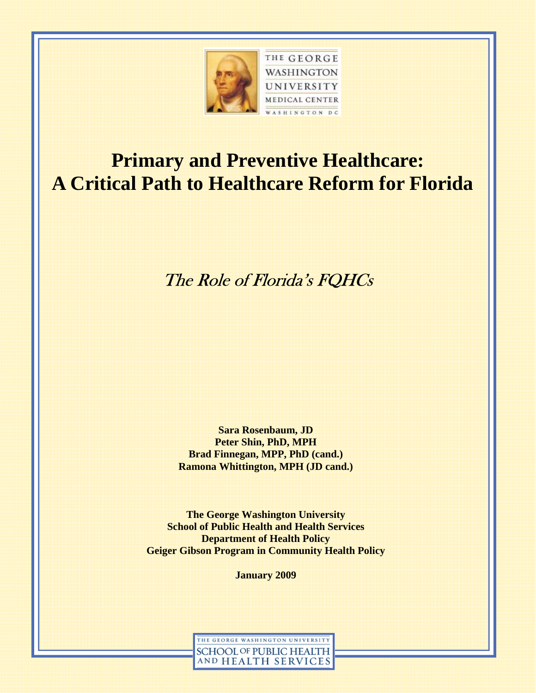

# **Primary and Preventive Healthcare: A Critical Path to Healthcare Reform for Florida**

The Role of Florida's FQHCs

**Sara Rosenbaum, JD Peter Shin, PhD, MPH Brad Finnegan, MPP, PhD (cand.) Ramona Whittington, MPH (JD cand.)** 

**The George Washington University School of Public Health and Health Services Department of Health Policy Geiger Gibson Program in Community Health Policy** 

**January 2009** 

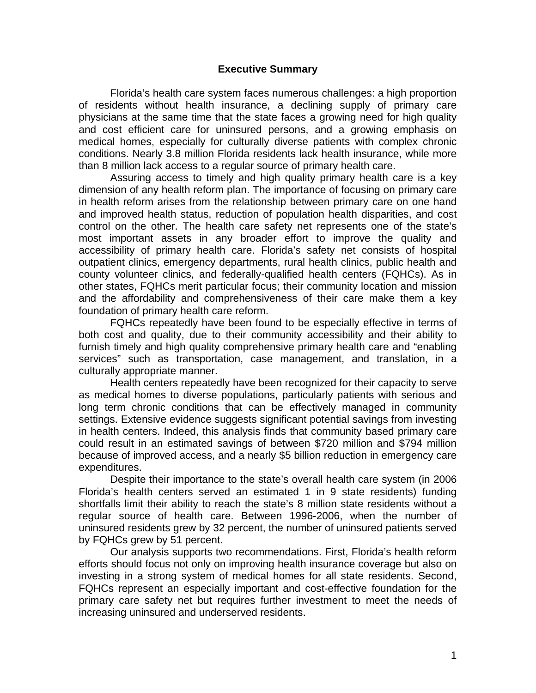#### **Executive Summary**

 Florida's health care system faces numerous challenges: a high proportion of residents without health insurance, a declining supply of primary care physicians at the same time that the state faces a growing need for high quality and cost efficient care for uninsured persons, and a growing emphasis on medical homes, especially for culturally diverse patients with complex chronic conditions. Nearly 3.8 million Florida residents lack health insurance, while more than 8 million lack access to a regular source of primary health care.

 Assuring access to timely and high quality primary health care is a key dimension of any health reform plan. The importance of focusing on primary care in health reform arises from the relationship between primary care on one hand and improved health status, reduction of population health disparities, and cost control on the other. The health care safety net represents one of the state's most important assets in any broader effort to improve the quality and accessibility of primary health care. Florida's safety net consists of hospital outpatient clinics, emergency departments, rural health clinics, public health and county volunteer clinics, and federally-qualified health centers (FQHCs). As in other states, FQHCs merit particular focus; their community location and mission and the affordability and comprehensiveness of their care make them a key foundation of primary health care reform.

 FQHCs repeatedly have been found to be especially effective in terms of both cost and quality, due to their community accessibility and their ability to furnish timely and high quality comprehensive primary health care and "enabling services" such as transportation, case management, and translation, in a culturally appropriate manner.

 Health centers repeatedly have been recognized for their capacity to serve as medical homes to diverse populations, particularly patients with serious and long term chronic conditions that can be effectively managed in community settings. Extensive evidence suggests significant potential savings from investing in health centers. Indeed, this analysis finds that community based primary care could result in an estimated savings of between \$720 million and \$794 million because of improved access, and a nearly \$5 billion reduction in emergency care expenditures.

 Despite their importance to the state's overall health care system (in 2006 Florida's health centers served an estimated 1 in 9 state residents) funding shortfalls limit their ability to reach the state's 8 million state residents without a regular source of health care. Between 1996-2006, when the number of uninsured residents grew by 32 percent, the number of uninsured patients served by FQHCs grew by 51 percent.

 Our analysis supports two recommendations. First, Florida's health reform efforts should focus not only on improving health insurance coverage but also on investing in a strong system of medical homes for all state residents. Second, FQHCs represent an especially important and cost-effective foundation for the primary care safety net but requires further investment to meet the needs of increasing uninsured and underserved residents.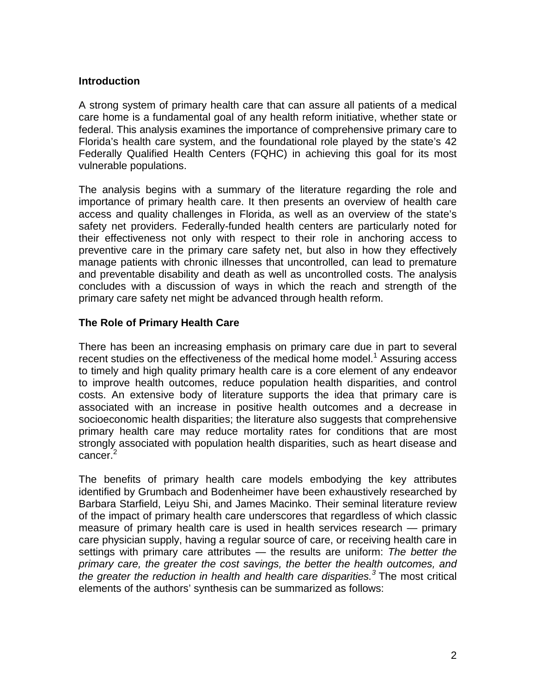### **Introduction**

A strong system of primary health care that can assure all patients of a medical care home is a fundamental goal of any health reform initiative, whether state or federal. This analysis examines the importance of comprehensive primary care to Florida's health care system, and the foundational role played by the state's 42 Federally Qualified Health Centers (FQHC) in achieving this goal for its most vulnerable populations.

The analysis begins with a summary of the literature regarding the role and importance of primary health care. It then presents an overview of health care access and quality challenges in Florida, as well as an overview of the state's safety net providers. Federally-funded health centers are particularly noted for their effectiveness not only with respect to their role in anchoring access to preventive care in the primary care safety net, but also in how they effectively manage patients with chronic illnesses that uncontrolled, can lead to premature and preventable disability and death as well as uncontrolled costs. The analysis concludes with a discussion of ways in which the reach and strength of the primary care safety net might be advanced through health reform.

## **The Role of Primary Health Care**

There has been an increasing emphasis on primary care due in part to several recent studies on the effectiveness of the medical home model.<sup>1</sup> Assuring access to timely and high quality primary health care is a core element of any endeavor to improve health outcomes, reduce population health disparities, and control costs. An extensive body of literature supports the idea that primary care is associated with an increase in positive health outcomes and a decrease in socioeconomic health disparities; the literature also suggests that comprehensive primary health care may reduce mortality rates for conditions that are most strongly associated with population health disparities, such as heart disease and cancer.<sup>2</sup>

The benefits of primary health care models embodying the key attributes identified by Grumbach and Bodenheimer have been exhaustively researched by Barbara Starfield, Leiyu Shi, and James Macinko. Their seminal literature review of the impact of primary health care underscores that regardless of which classic measure of primary health care is used in health services research — primary care physician supply, having a regular source of care, or receiving health care in settings with primary care attributes — the results are uniform: *The better the primary care, the greater the cost savings, the better the health outcomes, and the greater the reduction in health and health care disparities.<sup>3</sup>* The most critical elements of the authors' synthesis can be summarized as follows: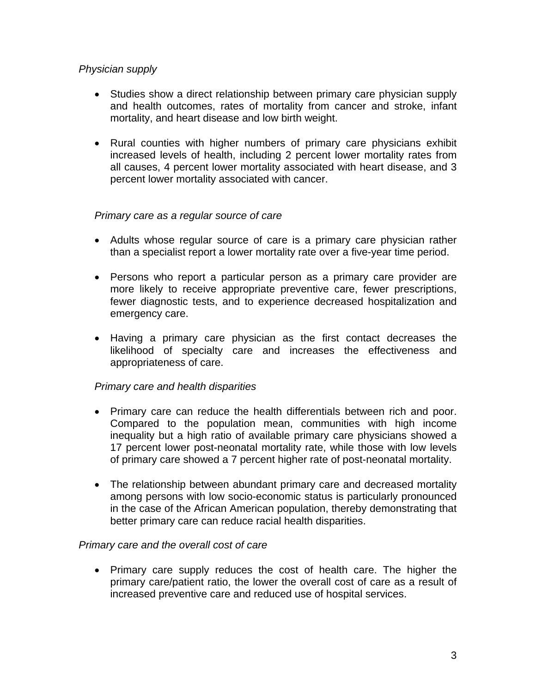## *Physician supply*

- Studies show a direct relationship between primary care physician supply and health outcomes, rates of mortality from cancer and stroke, infant mortality, and heart disease and low birth weight.
- Rural counties with higher numbers of primary care physicians exhibit increased levels of health, including 2 percent lower mortality rates from all causes, 4 percent lower mortality associated with heart disease, and 3 percent lower mortality associated with cancer.

## *Primary care as a regular source of care*

- Adults whose regular source of care is a primary care physician rather than a specialist report a lower mortality rate over a five-year time period.
- Persons who report a particular person as a primary care provider are more likely to receive appropriate preventive care, fewer prescriptions, fewer diagnostic tests, and to experience decreased hospitalization and emergency care.
- Having a primary care physician as the first contact decreases the likelihood of specialty care and increases the effectiveness and appropriateness of care.

#### *Primary care and health disparities*

- Primary care can reduce the health differentials between rich and poor. Compared to the population mean, communities with high income inequality but a high ratio of available primary care physicians showed a 17 percent lower post-neonatal mortality rate, while those with low levels of primary care showed a 7 percent higher rate of post-neonatal mortality.
- The relationship between abundant primary care and decreased mortality among persons with low socio-economic status is particularly pronounced in the case of the African American population, thereby demonstrating that better primary care can reduce racial health disparities.

#### *Primary care and the overall cost of care*

• Primary care supply reduces the cost of health care. The higher the primary care/patient ratio, the lower the overall cost of care as a result of increased preventive care and reduced use of hospital services.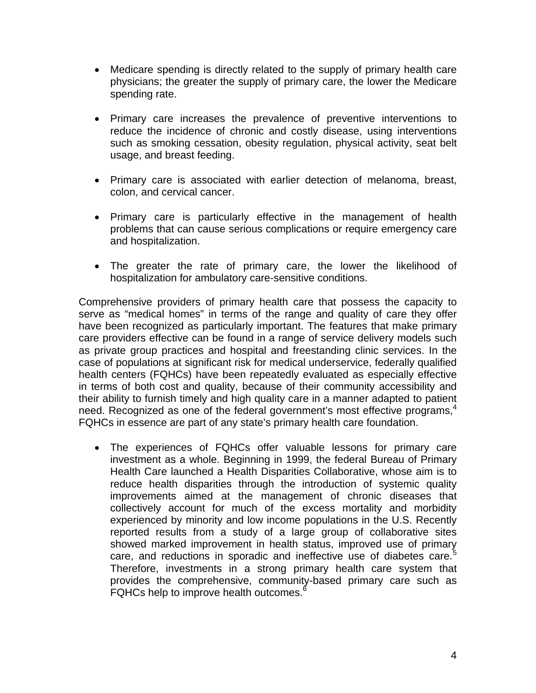- Medicare spending is directly related to the supply of primary health care physicians; the greater the supply of primary care, the lower the Medicare spending rate.
- Primary care increases the prevalence of preventive interventions to reduce the incidence of chronic and costly disease, using interventions such as smoking cessation, obesity regulation, physical activity, seat belt usage, and breast feeding.
- Primary care is associated with earlier detection of melanoma, breast, colon, and cervical cancer.
- Primary care is particularly effective in the management of health problems that can cause serious complications or require emergency care and hospitalization.
- The greater the rate of primary care, the lower the likelihood of hospitalization for ambulatory care-sensitive conditions.

Comprehensive providers of primary health care that possess the capacity to serve as "medical homes" in terms of the range and quality of care they offer have been recognized as particularly important. The features that make primary care providers effective can be found in a range of service delivery models such as private group practices and hospital and freestanding clinic services. In the case of populations at significant risk for medical underservice, federally qualified health centers (FQHCs) have been repeatedly evaluated as especially effective in terms of both cost and quality, because of their community accessibility and their ability to furnish timely and high quality care in a manner adapted to patient need. Recognized as one of the federal government's most effective programs,  $4\sigma$ FQHCs in essence are part of any state's primary health care foundation.

• The experiences of FQHCs offer valuable lessons for primary care investment as a whole. Beginning in 1999, the federal Bureau of Primary Health Care launched a Health Disparities Collaborative, whose aim is to reduce health disparities through the introduction of systemic quality improvements aimed at the management of chronic diseases that collectively account for much of the excess mortality and morbidity experienced by minority and low income populations in the U.S. Recently reported results from a study of a large group of collaborative sites showed marked improvement in health status, improved use of primary care, and reductions in sporadic and ineffective use of diabetes care.<sup>5</sup> Therefore, investments in a strong primary health care system that provides the comprehensive, community-based primary care such as FQHCs help to improve health outcomes. $6$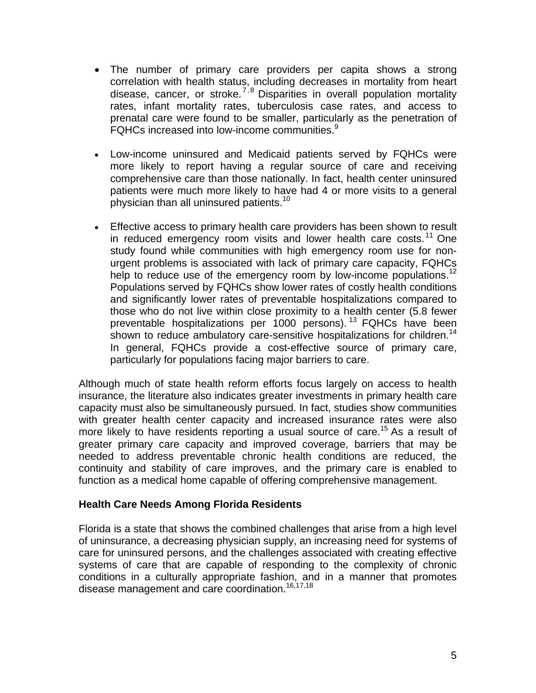- The number of primary care providers per capita shows a strong correlation with health status, including decreases in mortality from heart disease, cancer, or stroke.<sup>7,8</sup> Disparities in overall population mortality rates, infant mortality rates, tuberculosis case rates, and access to prenatal care were found to be smaller, particularly as the penetration of FQHCs increased into low-income communities.<sup>9</sup>
- Low-income uninsured and Medicaid patients served by FQHCs were more likely to report having a regular source of care and receiving comprehensive care than those nationally. In fact, health center uninsured patients were much more likely to have had 4 or more visits to a general physician than all uninsured patients.<sup>10</sup>
- Effective access to primary health care providers has been shown to result in reduced emergency room visits and lower health care costs.<sup>11</sup> One study found while communities with high emergency room use for nonurgent problems is associated with lack of primary care capacity, FQHCs help to reduce use of the emergency room by low-income populations.<sup>12</sup> Populations served by FQHCs show lower rates of costly health conditions and significantly lower rates of preventable hospitalizations compared to those who do not live within close proximity to a health center (5.8 fewer preventable hospitalizations per 1000 persons).<sup>13</sup> FQHCs have been shown to reduce ambulatory care-sensitive hospitalizations for children.<sup>14</sup> In general, FQHCs provide a cost-effective source of primary care, particularly for populations facing major barriers to care.

Although much of state health reform efforts focus largely on access to health insurance, the literature also indicates greater investments in primary health care capacity must also be simultaneously pursued. In fact, studies show communities with greater health center capacity and increased insurance rates were also more likely to have residents reporting a usual source of care.<sup>15</sup> As a result of greater primary care capacity and improved coverage, barriers that may be needed to address preventable chronic health conditions are reduced, the continuity and stability of care improves, and the primary care is enabled to function as a medical home capable of offering comprehensive management.

#### **Health Care Needs Among Florida Residents**

Florida is a state that shows the combined challenges that arise from a high level of uninsurance, a decreasing physician supply, an increasing need for systems of care for uninsured persons, and the challenges associated with creating effective systems of care that are capable of responding to the complexity of chronic conditions in a culturally appropriate fashion, and in a manner that promotes disease management and care coordination.<sup>16,17,18</sup>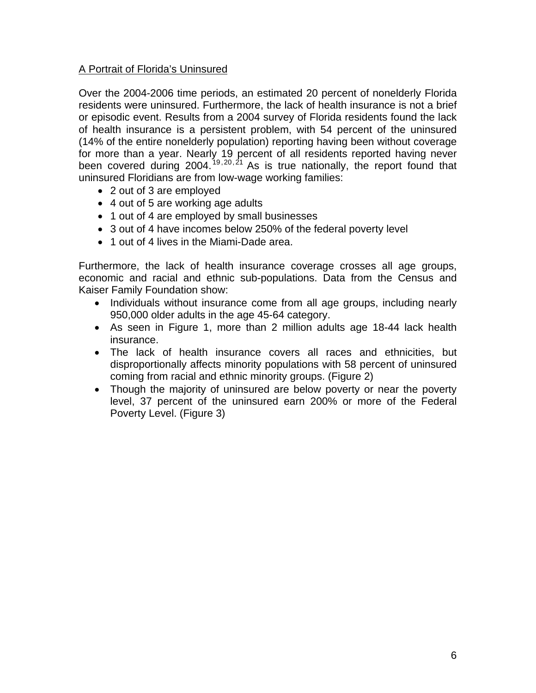## A Portrait of Florida's Uninsured

Over the 2004-2006 time periods, an estimated 20 percent of nonelderly Florida residents were uninsured. Furthermore, the lack of health insurance is not a brief or episodic event. Results from a 2004 survey of Florida residents found the lack of health insurance is a persistent problem, with 54 percent of the uninsured (14% of the entire nonelderly population) reporting having been without coverage for more than a year. Nearly 19 percent of all residents reported having never been covered during 2004.<sup>19,20,21</sup> As is true nationally, the report found that uninsured Floridians are from low-wage working families:

- 2 out of 3 are employed
- 4 out of 5 are working age adults
- 1 out of 4 are employed by small businesses
- 3 out of 4 have incomes below 250% of the federal poverty level
- 1 out of 4 lives in the Miami-Dade area.

Furthermore, the lack of health insurance coverage crosses all age groups, economic and racial and ethnic sub-populations. Data from the Census and Kaiser Family Foundation show:

- Individuals without insurance come from all age groups, including nearly 950,000 older adults in the age 45-64 category.
- As seen in Figure 1, more than 2 million adults age 18-44 lack health insurance.
- The lack of health insurance covers all races and ethnicities, but disproportionally affects minority populations with 58 percent of uninsured coming from racial and ethnic minority groups. (Figure 2)
- Though the majority of uninsured are below poverty or near the poverty level, 37 percent of the uninsured earn 200% or more of the Federal Poverty Level. (Figure 3)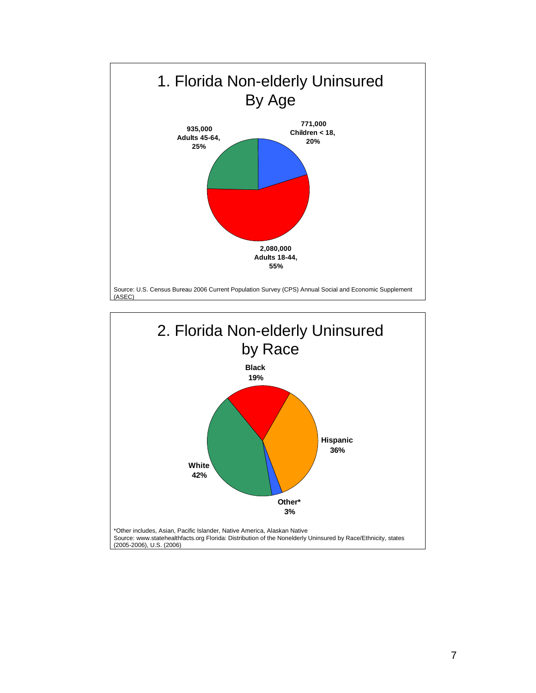

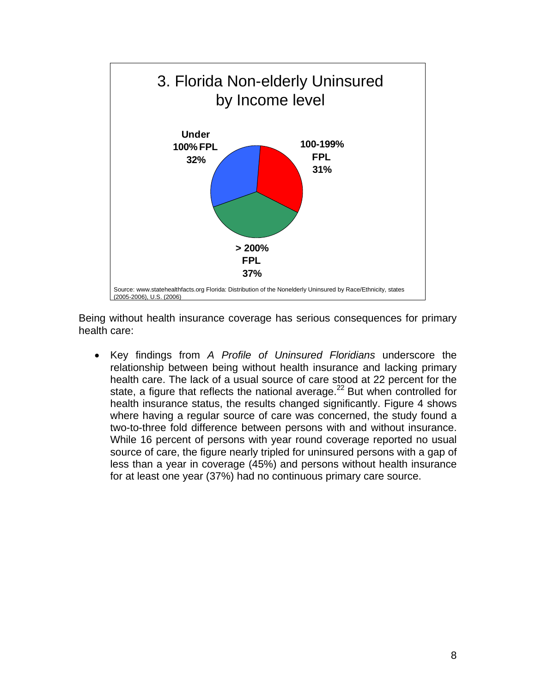

Being without health insurance coverage has serious consequences for primary health care:

• Key findings from *A Profile of Uninsured Floridians* underscore the relationship between being without health insurance and lacking primary health care. The lack of a usual source of care stood at 22 percent for the state, a figure that reflects the national average.<sup>22</sup> But when controlled for health insurance status, the results changed significantly. Figure 4 shows where having a regular source of care was concerned, the study found a two-to-three fold difference between persons with and without insurance. While 16 percent of persons with year round coverage reported no usual source of care, the figure nearly tripled for uninsured persons with a gap of less than a year in coverage (45%) and persons without health insurance for at least one year (37%) had no continuous primary care source.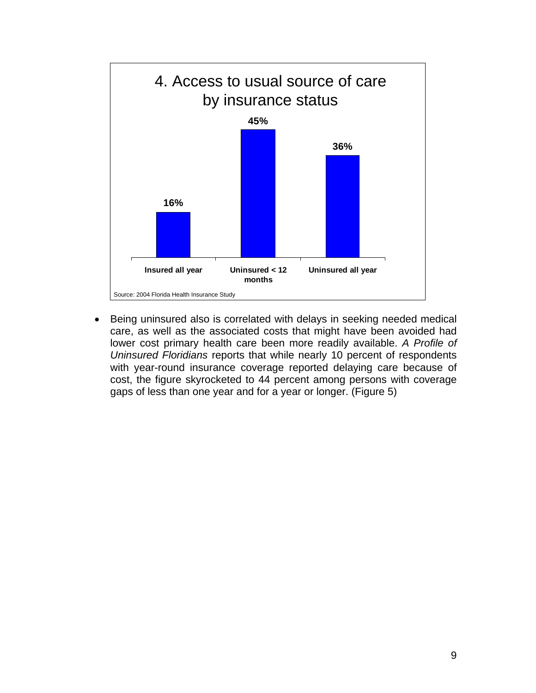

• Being uninsured also is correlated with delays in seeking needed medical care, as well as the associated costs that might have been avoided had lower cost primary health care been more readily available. *A Profile of Uninsured Floridians* reports that while nearly 10 percent of respondents with year-round insurance coverage reported delaying care because of cost, the figure skyrocketed to 44 percent among persons with coverage gaps of less than one year and for a year or longer. (Figure 5)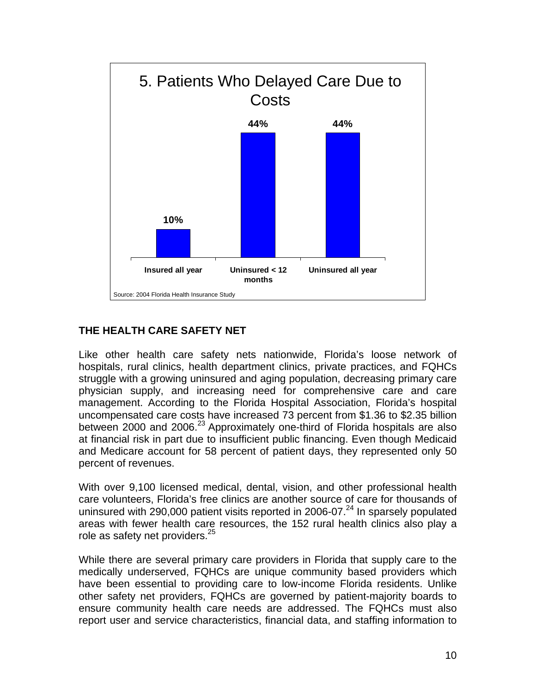

# **THE HEALTH CARE SAFETY NET**

Like other health care safety nets nationwide, Florida's loose network of hospitals, rural clinics, health department clinics, private practices, and FQHCs struggle with a growing uninsured and aging population, decreasing primary care physician supply, and increasing need for comprehensive care and care management. According to the Florida Hospital Association, Florida's hospital uncompensated care costs have increased 73 percent from \$1.36 to \$2.35 billion between 2000 and 2006.<sup>23</sup> Approximately one-third of Florida hospitals are also at financial risk in part due to insufficient public financing. Even though Medicaid and Medicare account for 58 percent of patient days, they represented only 50 percent of revenues.

With over 9,100 licensed medical, dental, vision, and other professional health care volunteers, Florida's free clinics are another source of care for thousands of uninsured with 290,000 patient visits reported in 2006-07.<sup>24</sup> In sparsely populated areas with fewer health care resources, the 152 rural health clinics also play a role as safety net providers.<sup>25</sup>

While there are several primary care providers in Florida that supply care to the medically underserved, FQHCs are unique community based providers which have been essential to providing care to low-income Florida residents. Unlike other safety net providers, FQHCs are governed by patient-majority boards to ensure community health care needs are addressed. The FQHCs must also report user and service characteristics, financial data, and staffing information to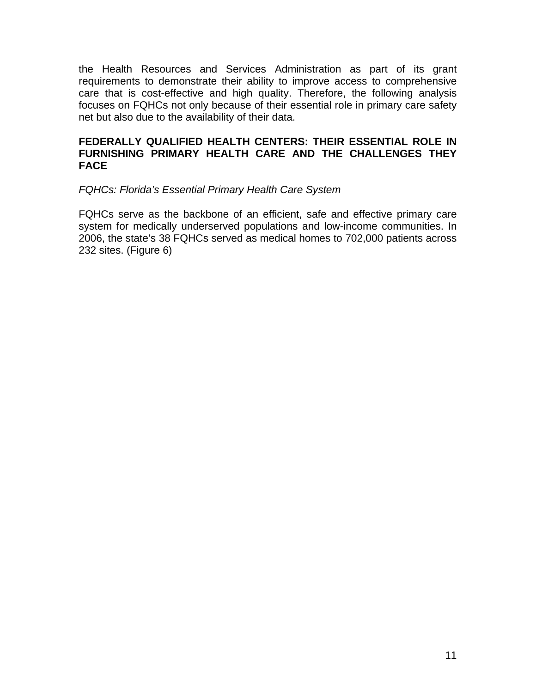the Health Resources and Services Administration as part of its grant requirements to demonstrate their ability to improve access to comprehensive care that is cost-effective and high quality. Therefore, the following analysis focuses on FQHCs not only because of their essential role in primary care safety net but also due to the availability of their data.

### **FEDERALLY QUALIFIED HEALTH CENTERS: THEIR ESSENTIAL ROLE IN FURNISHING PRIMARY HEALTH CARE AND THE CHALLENGES THEY FACE**

#### *FQHCs: Florida's Essential Primary Health Care System*

FQHCs serve as the backbone of an efficient, safe and effective primary care system for medically underserved populations and low-income communities. In 2006, the state's 38 FQHCs served as medical homes to 702,000 patients across 232 sites. (Figure 6)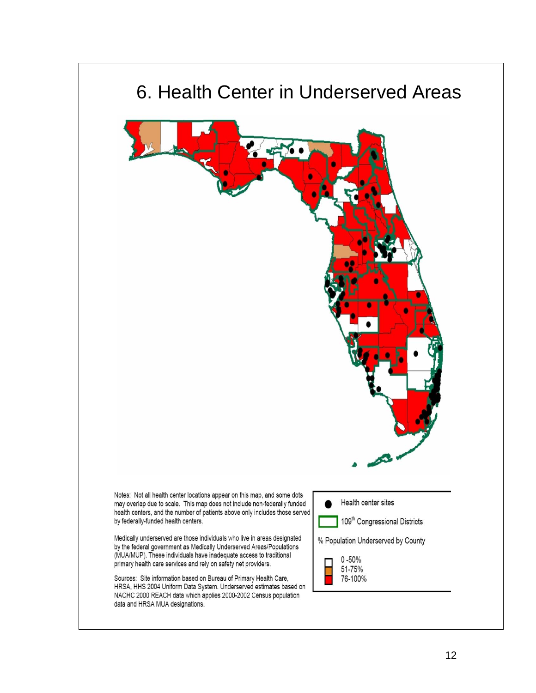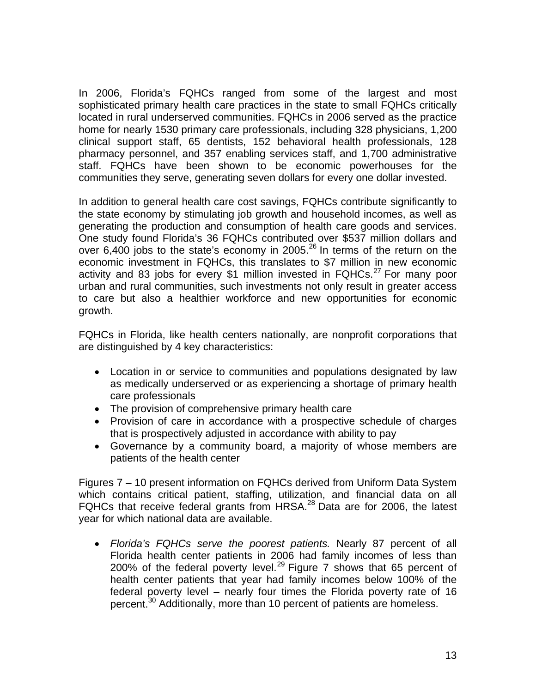In 2006, Florida's FQHCs ranged from some of the largest and most sophisticated primary health care practices in the state to small FQHCs critically located in rural underserved communities. FQHCs in 2006 served as the practice home for nearly 1530 primary care professionals, including 328 physicians, 1,200 clinical support staff, 65 dentists, 152 behavioral health professionals, 128 pharmacy personnel, and 357 enabling services staff, and 1,700 administrative staff. FQHCs have been shown to be economic powerhouses for the communities they serve, generating seven dollars for every one dollar invested.

In addition to general health care cost savings, FQHCs contribute significantly to the state economy by stimulating job growth and household incomes, as well as generating the production and consumption of health care goods and services. One study found Florida's 36 FQHCs contributed over \$537 million dollars and over 6,400 jobs to the state's economy in 2005.<sup>26</sup> In terms of the return on the economic investment in FQHCs, this translates to \$7 million in new economic activity and 83 jobs for every \$1 million invested in  $FQHCs.$ <sup>27</sup> For many poor urban and rural communities, such investments not only result in greater access to care but also a healthier workforce and new opportunities for economic growth.

FQHCs in Florida, like health centers nationally, are nonprofit corporations that are distinguished by 4 key characteristics:

- Location in or service to communities and populations designated by law as medically underserved or as experiencing a shortage of primary health care professionals
- The provision of comprehensive primary health care
- Provision of care in accordance with a prospective schedule of charges that is prospectively adjusted in accordance with ability to pay
- Governance by a community board, a majority of whose members are patients of the health center

Figures 7 – 10 present information on FQHCs derived from Uniform Data System which contains critical patient, staffing, utilization, and financial data on all FQHCs that receive federal grants from HRSA.<sup>28</sup> Data are for 2006, the latest year for which national data are available.

• *Florida's FQHCs serve the poorest patients.* Nearly 87 percent of all Florida health center patients in 2006 had family incomes of less than 200% of the federal poverty level.<sup>29</sup> Figure 7 shows that 65 percent of health center patients that year had family incomes below 100% of the federal poverty level – nearly four times the Florida poverty rate of 16 percent.<sup>30</sup> Additionally, more than 10 percent of patients are homeless.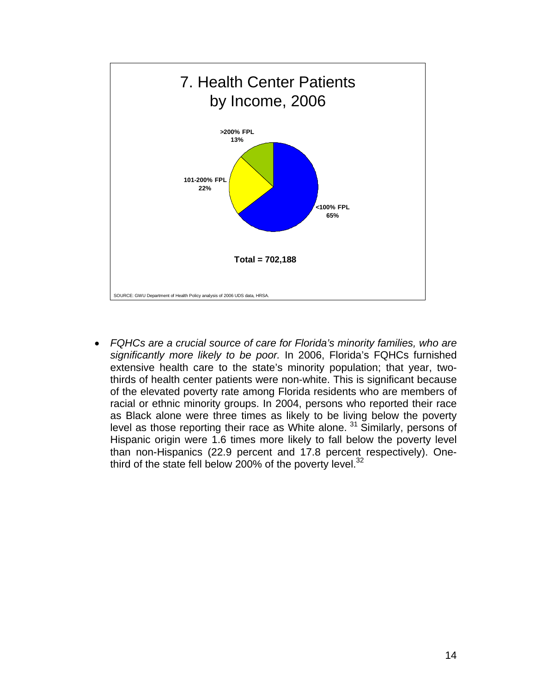

• *FQHCs are a crucial source of care for Florida's minority families, who are significantly more likely to be poor.* In 2006, Florida's FQHCs furnished extensive health care to the state's minority population; that year, twothirds of health center patients were non-white. This is significant because of the elevated poverty rate among Florida residents who are members of racial or ethnic minority groups. In 2004, persons who reported their race as Black alone were three times as likely to be living below the poverty level as those reporting their race as White alone. 31 Similarly, persons of Hispanic origin were 1.6 times more likely to fall below the poverty level than non-Hispanics (22.9 percent and 17.8 percent respectively). Onethird of the state fell below 200% of the poverty level. $32$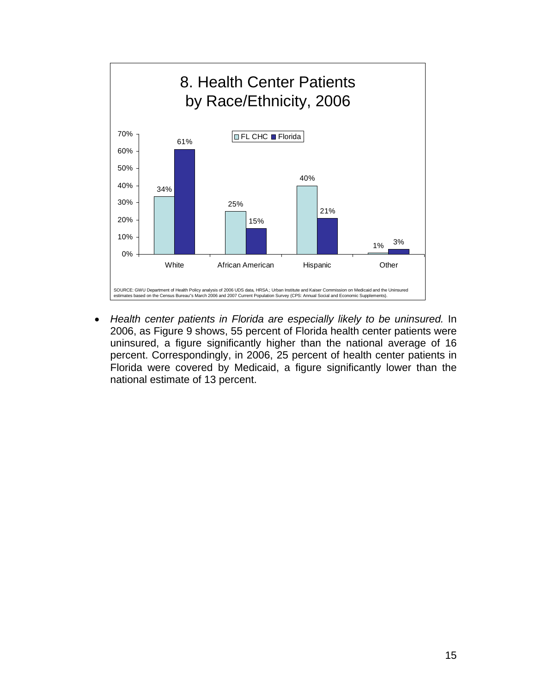

• *Health center patients in Florida are especially likely to be uninsured.* In 2006, as Figure 9 shows, 55 percent of Florida health center patients were uninsured, a figure significantly higher than the national average of 16 percent. Correspondingly, in 2006, 25 percent of health center patients in Florida were covered by Medicaid, a figure significantly lower than the national estimate of 13 percent.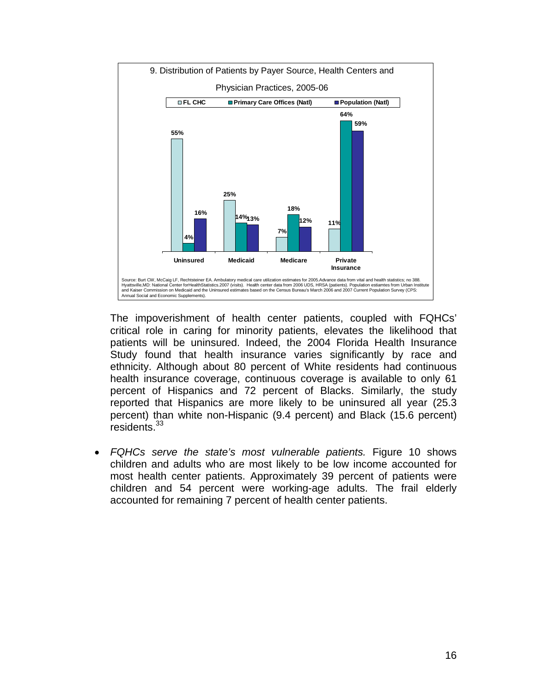

The impoverishment of health center patients, coupled with FQHCs' critical role in caring for minority patients, elevates the likelihood that patients will be uninsured. Indeed, the 2004 Florida Health Insurance Study found that health insurance varies significantly by race and ethnicity. Although about 80 percent of White residents had continuous health insurance coverage, continuous coverage is available to only 61 percent of Hispanics and 72 percent of Blacks. Similarly, the study reported that Hispanics are more likely to be uninsured all year (25.3 percent) than white non-Hispanic (9.4 percent) and Black (15.6 percent) residents.<sup>33</sup>

• *FQHCs serve the state's most vulnerable patients.* Figure 10 shows children and adults who are most likely to be low income accounted for most health center patients. Approximately 39 percent of patients were children and 54 percent were working-age adults. The frail elderly accounted for remaining 7 percent of health center patients.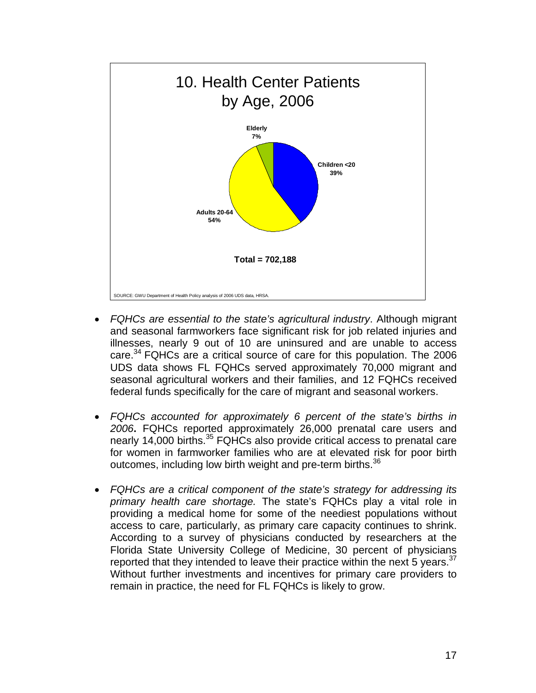

- *FQHCs are essential to the state's agricultural industry*. Although migrant and seasonal farmworkers face significant risk for job related injuries and illnesses, nearly 9 out of 10 are uninsured and are unable to access care.34 FQHCs are a critical source of care for this population. The 2006 UDS data shows FL FQHCs served approximately 70,000 migrant and seasonal agricultural workers and their families, and 12 FQHCs received federal funds specifically for the care of migrant and seasonal workers.
- *FQHCs accounted for approximately 6 percent of the state's births in 2006***.** FQHCs reported approximately 26,000 prenatal care users and nearly 14,000 births.<sup>35</sup> FQHCs also provide critical access to prenatal care for women in farmworker families who are at elevated risk for poor birth outcomes, including low birth weight and pre-term births.<sup>36</sup>
- *FQHCs are a critical component of the state's strategy for addressing its primary health care shortage.* The state's FQHCs play a vital role in providing a medical home for some of the neediest populations without access to care, particularly, as primary care capacity continues to shrink. According to a survey of physicians conducted by researchers at the Florida State University College of Medicine, 30 percent of physicians reported that they intended to leave their practice within the next 5 years.<sup>37</sup> Without further investments and incentives for primary care providers to remain in practice, the need for FL FQHCs is likely to grow.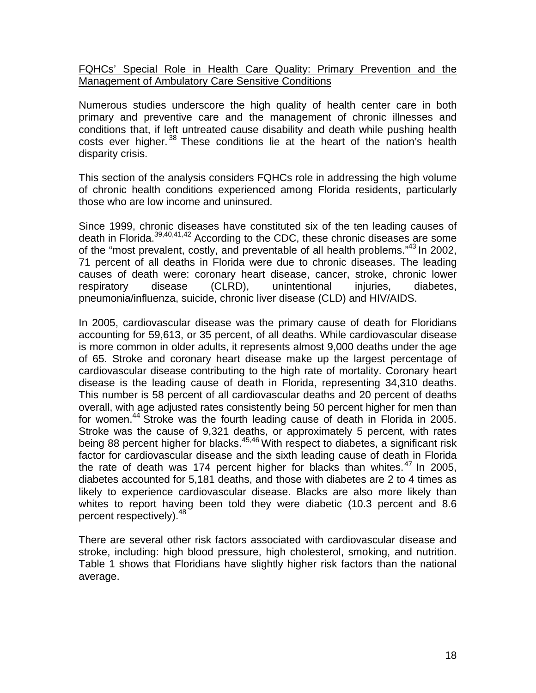FQHCs' Special Role in Health Care Quality: Primary Prevention and the Management of Ambulatory Care Sensitive Conditions

Numerous studies underscore the high quality of health center care in both primary and preventive care and the management of chronic illnesses and conditions that, if left untreated cause disability and death while pushing health costs ever higher.  $38$  These conditions lie at the heart of the nation's health disparity crisis.

This section of the analysis considers FQHCs role in addressing the high volume of chronic health conditions experienced among Florida residents, particularly those who are low income and uninsured.

Since 1999, chronic diseases have constituted six of the ten leading causes of death in Florida.39,40,41,42 According to the CDC, these chronic diseases are some of the "most prevalent, costly, and preventable of all health problems."43 In 2002, 71 percent of all deaths in Florida were due to chronic diseases. The leading causes of death were: coronary heart disease, cancer, stroke, chronic lower respiratory disease (CLRD), unintentional injuries, diabetes, pneumonia/influenza, suicide, chronic liver disease (CLD) and HIV/AIDS.

In 2005, cardiovascular disease was the primary cause of death for Floridians accounting for 59,613, or 35 percent, of all deaths. While cardiovascular disease is more common in older adults, it represents almost 9,000 deaths under the age of 65. Stroke and coronary heart disease make up the largest percentage of cardiovascular disease contributing to the high rate of mortality. Coronary heart disease is the leading cause of death in Florida, representing 34,310 deaths. This number is 58 percent of all cardiovascular deaths and 20 percent of deaths overall, with age adjusted rates consistently being 50 percent higher for men than for women.<sup>44</sup> Stroke was the fourth leading cause of death in Florida in 2005. Stroke was the cause of 9,321 deaths, or approximately 5 percent, with rates being 88 percent higher for blacks. $45,46$  With respect to diabetes, a significant risk factor for cardiovascular disease and the sixth leading cause of death in Florida the rate of death was 174 percent higher for blacks than whites. $47$  In 2005, diabetes accounted for 5,181 deaths, and those with diabetes are 2 to 4 times as likely to experience cardiovascular disease. Blacks are also more likely than whites to report having been told they were diabetic (10.3 percent and 8.6 percent respectively). <sup>48</sup>

There are several other risk factors associated with cardiovascular disease and stroke, including: high blood pressure, high cholesterol, smoking, and nutrition. Table 1 shows that Floridians have slightly higher risk factors than the national average.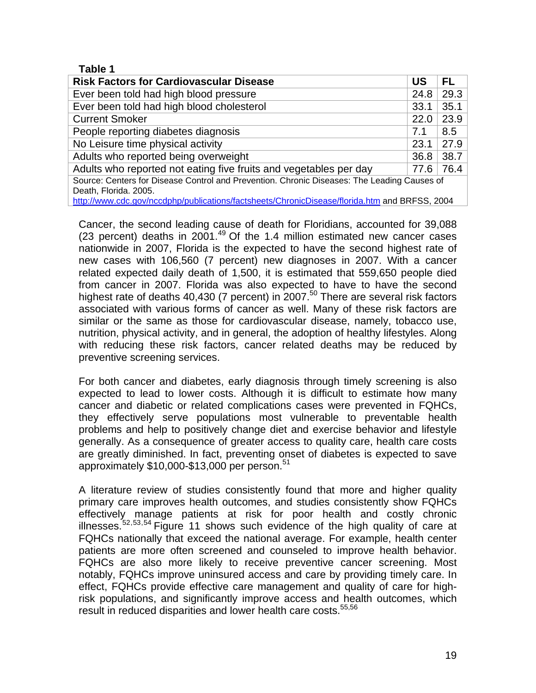#### **Table 1**

| <b>Risk Factors for Cardiovascular Disease</b>                                              | US   | <b>FL</b> |
|---------------------------------------------------------------------------------------------|------|-----------|
| Ever been told had high blood pressure                                                      | 24.8 | 29.3      |
| Ever been told had high blood cholesterol                                                   | 33.1 | 35.1      |
| <b>Current Smoker</b>                                                                       | 22.0 | 23.9      |
| People reporting diabetes diagnosis                                                         | 7.1  | 8.5       |
| No Leisure time physical activity                                                           | 23.1 | 27.9      |
| Adults who reported being overweight                                                        | 36.8 | 38.7      |
| Adults who reported not eating five fruits and vegetables per day                           | 77.6 | 76.4      |
| Source: Centers for Disease Control and Prevention. Chronic Diseases: The Leading Causes of |      |           |
| Death, Florida. 2005.                                                                       |      |           |

http://www.cdc.gov/nccdphp/publications/factsheets/ChronicDisease/florida.htm and BRFSS, 2004

Cancer, the second leading cause of death for Floridians, accounted for 39,088 (23 percent) deaths in 2001.<sup>49</sup> Of the 1.4 million estimated new cancer cases nationwide in 2007, Florida is the expected to have the second highest rate of new cases with 106,560 (7 percent) new diagnoses in 2007. With a cancer related expected daily death of 1,500, it is estimated that 559,650 people died from cancer in 2007. Florida was also expected to have to have the second highest rate of deaths 40,430 (7 percent) in  $2007$ .<sup>50</sup> There are several risk factors associated with various forms of cancer as well. Many of these risk factors are similar or the same as those for cardiovascular disease, namely, tobacco use, nutrition, physical activity, and in general, the adoption of healthy lifestyles. Along with reducing these risk factors, cancer related deaths may be reduced by preventive screening services.

For both cancer and diabetes, early diagnosis through timely screening is also expected to lead to lower costs. Although it is difficult to estimate how many cancer and diabetic or related complications cases were prevented in FQHCs, they effectively serve populations most vulnerable to preventable health problems and help to positively change diet and exercise behavior and lifestyle generally. As a consequence of greater access to quality care, health care costs are greatly diminished. In fact, preventing onset of diabetes is expected to save approximately \$10,000-\$13,000 per person.<sup>51</sup>

A literature review of studies consistently found that more and higher quality primary care improves health outcomes, and studies consistently show FQHCs effectively manage patients at risk for poor health and costly chronic illnesses.<sup>52,53,54</sup> Figure 11 shows such evidence of the high quality of care at FQHCs nationally that exceed the national average. For example, health center patients are more often screened and counseled to improve health behavior. FQHCs are also more likely to receive preventive cancer screening. Most notably, FQHCs improve uninsured access and care by providing timely care. In effect, FQHCs provide effective care management and quality of care for highrisk populations, and significantly improve access and health outcomes, which result in reduced disparities and lower health care costs.<sup>55,56</sup>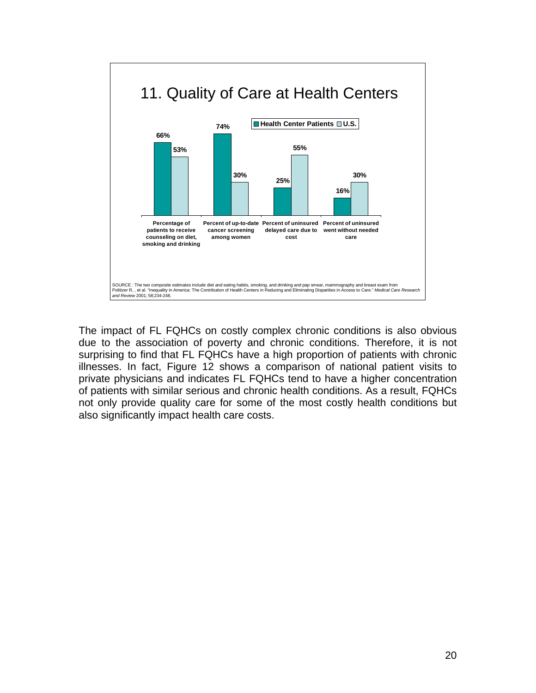

The impact of FL FQHCs on costly complex chronic conditions is also obvious due to the association of poverty and chronic conditions. Therefore, it is not surprising to find that FL FQHCs have a high proportion of patients with chronic illnesses. In fact, Figure 12 shows a comparison of national patient visits to private physicians and indicates FL FQHCs tend to have a higher concentration of patients with similar serious and chronic health conditions. As a result, FQHCs not only provide quality care for some of the most costly health conditions but also significantly impact health care costs.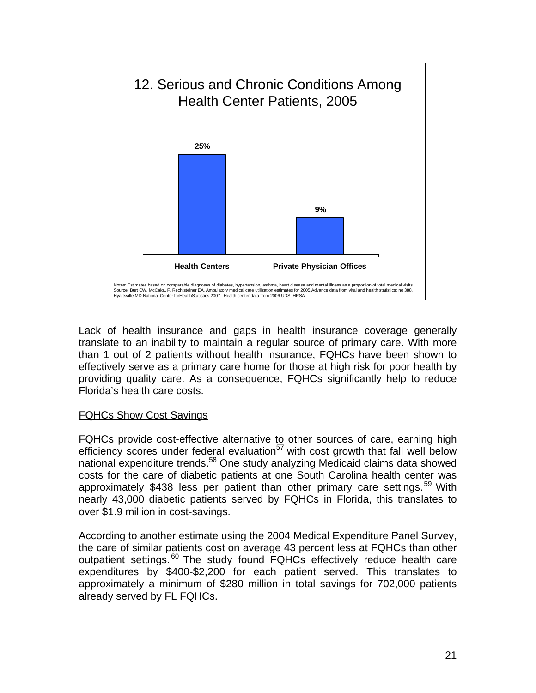

Lack of health insurance and gaps in health insurance coverage generally translate to an inability to maintain a regular source of primary care. With more than 1 out of 2 patients without health insurance, FQHCs have been shown to effectively serve as a primary care home for those at high risk for poor health by providing quality care. As a consequence, FQHCs significantly help to reduce Florida's health care costs.

# FQHCs Show Cost Savings

FQHCs provide cost-effective alternative to other sources of care, earning high efficiency scores under federal evaluation<sup>57</sup> with cost growth that fall well below national expenditure trends.58 One study analyzing Medicaid claims data showed costs for the care of diabetic patients at one South Carolina health center was approximately \$438 less per patient than other primary care settings.<sup>59</sup> With nearly 43,000 diabetic patients served by FQHCs in Florida, this translates to over \$1.9 million in cost-savings.

According to another estimate using the 2004 Medical Expenditure Panel Survey, the care of similar patients cost on average 43 percent less at FQHCs than other outpatient settings.<sup>60</sup> The study found FQHCs effectively reduce health care expenditures by \$400-\$2,200 for each patient served. This translates to approximately a minimum of \$280 million in total savings for 702,000 patients already served by FL FQHCs.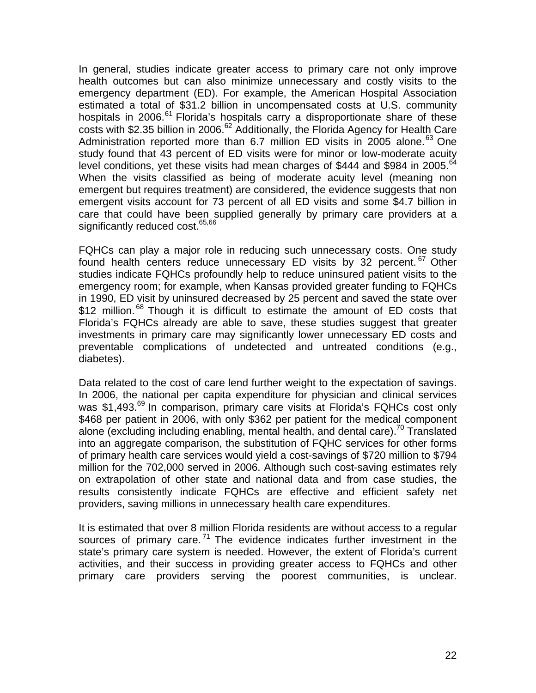In general, studies indicate greater access to primary care not only improve health outcomes but can also minimize unnecessary and costly visits to the emergency department (ED). For example, the American Hospital Association estimated a total of \$31.2 billion in uncompensated costs at U.S. community hospitals in 2006.<sup>61</sup> Florida's hospitals carry a disproportionate share of these costs with \$2.35 billion in 2006.<sup>62</sup> Additionally, the Florida Agency for Health Care Administration reported more than 6.7 million ED visits in 2005 alone.<sup>63</sup> One study found that 43 percent of ED visits were for minor or low-moderate acuity level conditions, yet these visits had mean charges of \$444 and \$984 in 2005.<sup>64</sup> When the visits classified as being of moderate acuity level (meaning non emergent but requires treatment) are considered, the evidence suggests that non emergent visits account for 73 percent of all ED visits and some \$4.7 billion in care that could have been supplied generally by primary care providers at a significantly reduced cost.<sup>65,66</sup>

FQHCs can play a major role in reducing such unnecessary costs. One study found health centers reduce unnecessary ED visits by 32 percent.<sup>67</sup> Other studies indicate FQHCs profoundly help to reduce uninsured patient visits to the emergency room; for example, when Kansas provided greater funding to FQHCs in 1990, ED visit by uninsured decreased by 25 percent and saved the state over \$12 million.<sup>68</sup> Though it is difficult to estimate the amount of ED costs that Florida's FQHCs already are able to save, these studies suggest that greater investments in primary care may significantly lower unnecessary ED costs and preventable complications of undetected and untreated conditions (e.g., diabetes).

Data related to the cost of care lend further weight to the expectation of savings. In 2006, the national per capita expenditure for physician and clinical services was \$1,493.<sup>69</sup> In comparison, primary care visits at Florida's FQHCs cost only \$468 per patient in 2006, with only \$362 per patient for the medical component alone (excluding including enabling, mental health, and dental care).<sup>70</sup> Translated into an aggregate comparison, the substitution of FQHC services for other forms of primary health care services would yield a cost-savings of \$720 million to \$794 million for the 702,000 served in 2006. Although such cost-saving estimates rely on extrapolation of other state and national data and from case studies, the results consistently indicate FQHCs are effective and efficient safety net providers, saving millions in unnecessary health care expenditures.

It is estimated that over 8 million Florida residents are without access to a regular sources of primary care.  $71$  The evidence indicates further investment in the state's primary care system is needed. However, the extent of Florida's current activities, and their success in providing greater access to FQHCs and other primary care providers serving the poorest communities, is unclear.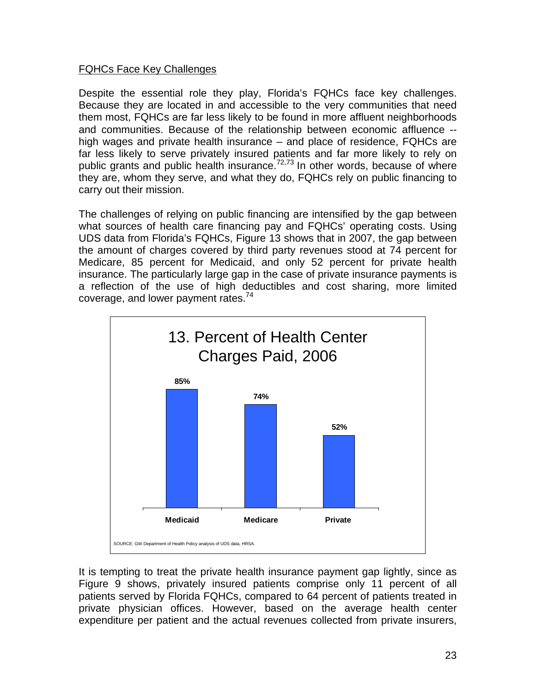## FQHCs Face Key Challenges

Despite the essential role they play, Florida's FQHCs face key challenges. Because they are located in and accessible to the very communities that need them most, FQHCs are far less likely to be found in more affluent neighborhoods and communities. Because of the relationship between economic affluence - high wages and private health insurance – and place of residence, FQHCs are far less likely to serve privately insured patients and far more likely to rely on public grants and public health insurance. $72,73$  In other words, because of where they are, whom they serve, and what they do, FQHCs rely on public financing to carry out their mission.

The challenges of relying on public financing are intensified by the gap between what sources of health care financing pay and FQHCs' operating costs. Using UDS data from Florida's FQHCs, Figure 13 shows that in 2007, the gap between the amount of charges covered by third party revenues stood at 74 percent for Medicare, 85 percent for Medicaid, and only 52 percent for private health insurance. The particularly large gap in the case of private insurance payments is a reflection of the use of high deductibles and cost sharing, more limited coverage, and lower payment rates.<sup>74</sup>



It is tempting to treat the private health insurance payment gap lightly, since as Figure 9 shows, privately insured patients comprise only 11 percent of all patients served by Florida FQHCs, compared to 64 percent of patients treated in private physician offices. However, based on the average health center expenditure per patient and the actual revenues collected from private insurers,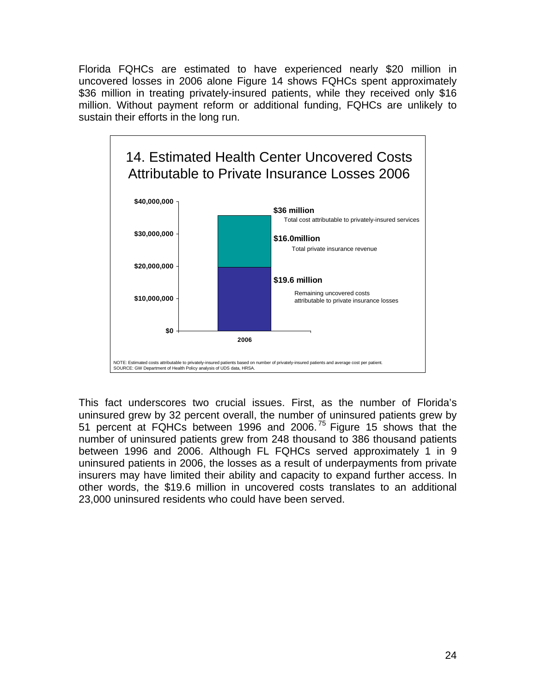Florida FQHCs are estimated to have experienced nearly \$20 million in uncovered losses in 2006 alone Figure 14 shows FQHCs spent approximately \$36 million in treating privately-insured patients, while they received only \$16 million. Without payment reform or additional funding, FQHCs are unlikely to sustain their efforts in the long run.



This fact underscores two crucial issues. First, as the number of Florida's uninsured grew by 32 percent overall, the number of uninsured patients grew by 51 percent at FQHCs between 1996 and 2006.<sup>75</sup> Figure 15 shows that the number of uninsured patients grew from 248 thousand to 386 thousand patients between 1996 and 2006. Although FL FQHCs served approximately 1 in 9 uninsured patients in 2006, the losses as a result of underpayments from private insurers may have limited their ability and capacity to expand further access. In other words, the \$19.6 million in uncovered costs translates to an additional 23,000 uninsured residents who could have been served.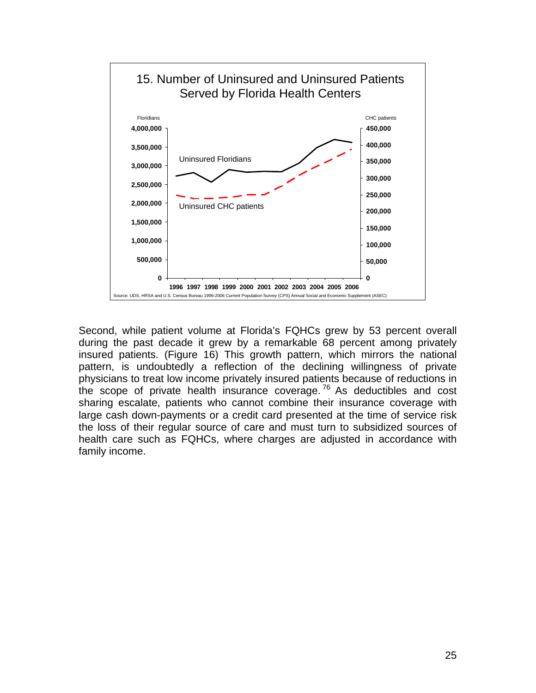

Second, while patient volume at Florida's FQHCs grew by 53 percent overall during the past decade it grew by a remarkable 68 percent among privately insured patients. (Figure 16) This growth pattern, which mirrors the national pattern, is undoubtedly a reflection of the declining willingness of private physicians to treat low income privately insured patients because of reductions in the scope of private health insurance coverage.<sup>76</sup> As deductibles and cost sharing escalate, patients who cannot combine their insurance coverage with large cash down-payments or a credit card presented at the time of service risk the loss of their regular source of care and must turn to subsidized sources of health care such as FQHCs, where charges are adjusted in accordance with family income.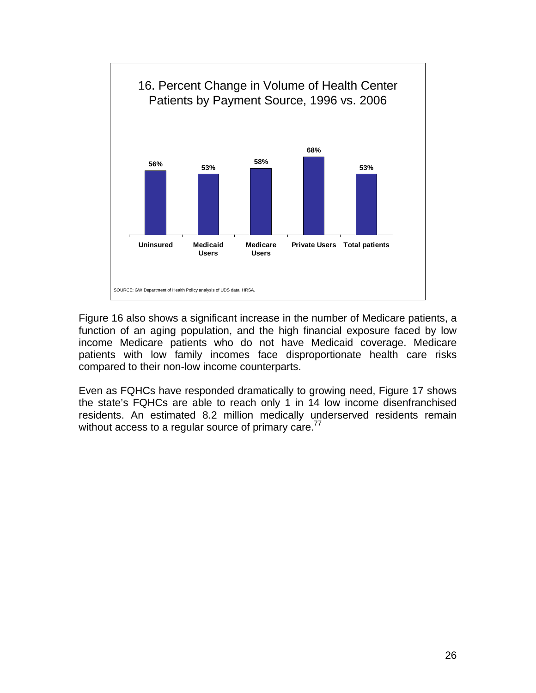

Figure 16 also shows a significant increase in the number of Medicare patients, a function of an aging population, and the high financial exposure faced by low income Medicare patients who do not have Medicaid coverage. Medicare patients with low family incomes face disproportionate health care risks compared to their non-low income counterparts.

Even as FQHCs have responded dramatically to growing need, Figure 17 shows the state's FQHCs are able to reach only 1 in 14 low income disenfranchised residents. An estimated 8.2 million medically underserved residents remain without access to a regular source of primary care.<sup>77</sup>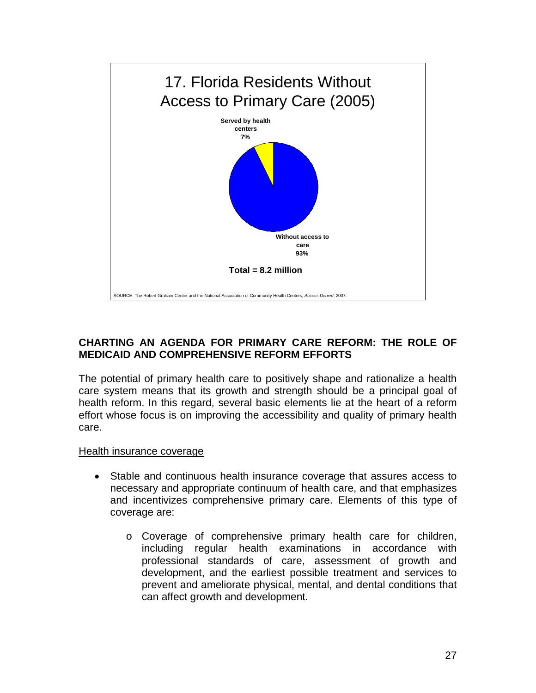

## **CHARTING AN AGENDA FOR PRIMARY CARE REFORM: THE ROLE OF MEDICAID AND COMPREHENSIVE REFORM EFFORTS**

The potential of primary health care to positively shape and rationalize a health care system means that its growth and strength should be a principal goal of health reform. In this regard, several basic elements lie at the heart of a reform effort whose focus is on improving the accessibility and quality of primary health care.

#### Health insurance coverage

- Stable and continuous health insurance coverage that assures access to necessary and appropriate continuum of health care, and that emphasizes and incentivizes comprehensive primary care. Elements of this type of coverage are:
	- o Coverage of comprehensive primary health care for children, including regular health examinations in accordance with professional standards of care, assessment of growth and development, and the earliest possible treatment and services to prevent and ameliorate physical, mental, and dental conditions that can affect growth and development.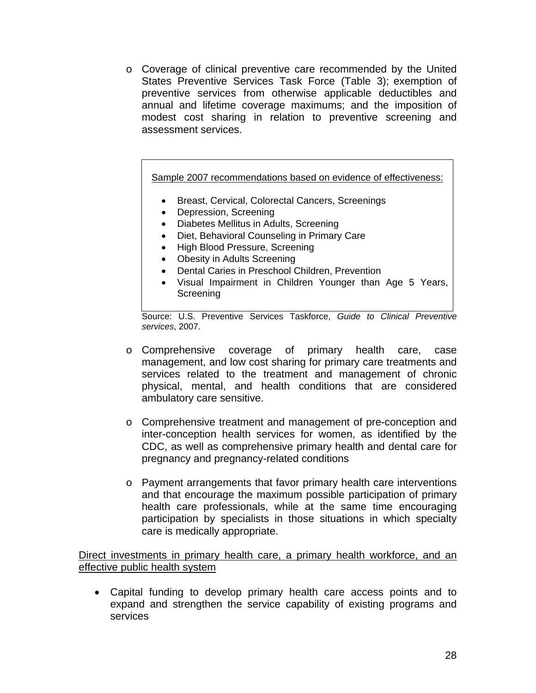o Coverage of clinical preventive care recommended by the United States Preventive Services Task Force (Table 3); exemption of preventive services from otherwise applicable deductibles and annual and lifetime coverage maximums; and the imposition of modest cost sharing in relation to preventive screening and assessment services.

Sample 2007 recommendations based on evidence of effectiveness:

- Breast, Cervical, Colorectal Cancers, Screenings
- Depression, Screening
- Diabetes Mellitus in Adults, Screening
- Diet, Behavioral Counseling in Primary Care
- High Blood Pressure, Screening
- Obesity in Adults Screening
- Dental Caries in Preschool Children, Prevention
- Visual Impairment in Children Younger than Age 5 Years, **Screening**

Source: U.S. Preventive Services Taskforce, *Guide to Clinical Preventive services*, 2007.

- o Comprehensive coverage of primary health care, case management, and low cost sharing for primary care treatments and services related to the treatment and management of chronic physical, mental, and health conditions that are considered ambulatory care sensitive.
- o Comprehensive treatment and management of pre-conception and inter-conception health services for women, as identified by the CDC, as well as comprehensive primary health and dental care for pregnancy and pregnancy-related conditions
- o Payment arrangements that favor primary health care interventions and that encourage the maximum possible participation of primary health care professionals, while at the same time encouraging participation by specialists in those situations in which specialty care is medically appropriate.

Direct investments in primary health care, a primary health workforce, and an effective public health system

• Capital funding to develop primary health care access points and to expand and strengthen the service capability of existing programs and services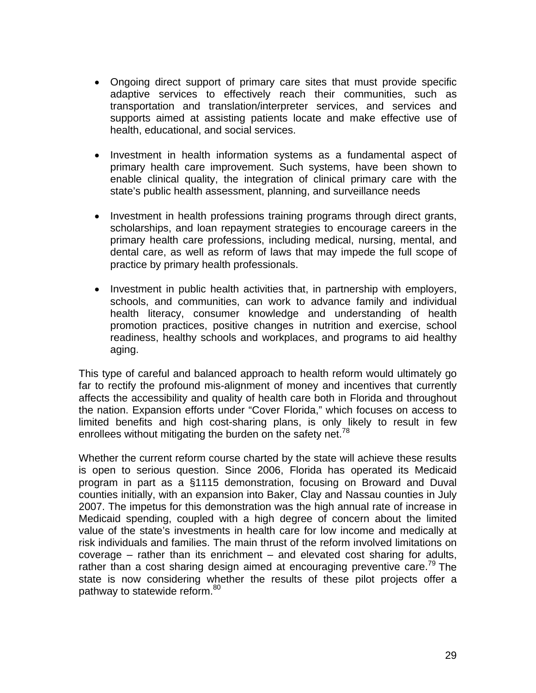- Ongoing direct support of primary care sites that must provide specific adaptive services to effectively reach their communities, such as transportation and translation/interpreter services, and services and supports aimed at assisting patients locate and make effective use of health, educational, and social services.
- Investment in health information systems as a fundamental aspect of primary health care improvement. Such systems, have been shown to enable clinical quality, the integration of clinical primary care with the state's public health assessment, planning, and surveillance needs
- Investment in health professions training programs through direct grants, scholarships, and loan repayment strategies to encourage careers in the primary health care professions, including medical, nursing, mental, and dental care, as well as reform of laws that may impede the full scope of practice by primary health professionals.
- Investment in public health activities that, in partnership with employers, schools, and communities, can work to advance family and individual health literacy, consumer knowledge and understanding of health promotion practices, positive changes in nutrition and exercise, school readiness, healthy schools and workplaces, and programs to aid healthy aging.

This type of careful and balanced approach to health reform would ultimately go far to rectify the profound mis-alignment of money and incentives that currently affects the accessibility and quality of health care both in Florida and throughout the nation. Expansion efforts under "Cover Florida," which focuses on access to limited benefits and high cost-sharing plans, is only likely to result in few enrollees without mitigating the burden on the safety net.<sup>78</sup>

Whether the current reform course charted by the state will achieve these results is open to serious question. Since 2006, Florida has operated its Medicaid program in part as a §1115 demonstration, focusing on Broward and Duval counties initially, with an expansion into Baker, Clay and Nassau counties in July 2007. The impetus for this demonstration was the high annual rate of increase in Medicaid spending, coupled with a high degree of concern about the limited value of the state's investments in health care for low income and medically at risk individuals and families. The main thrust of the reform involved limitations on coverage – rather than its enrichment – and elevated cost sharing for adults, rather than a cost sharing design aimed at encouraging preventive care.<sup> $\frac{79}{9}$ </sup> The state is now considering whether the results of these pilot projects offer a pathway to statewide reform.<sup>80</sup>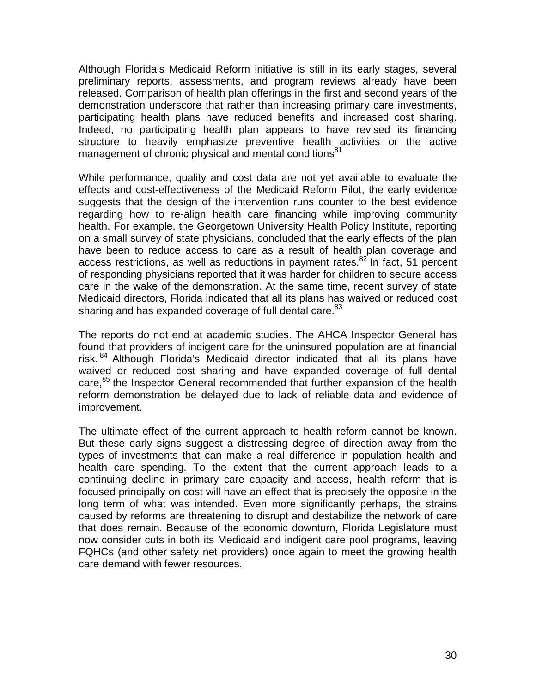Although Florida's Medicaid Reform initiative is still in its early stages, several preliminary reports, assessments, and program reviews already have been released. Comparison of health plan offerings in the first and second years of the demonstration underscore that rather than increasing primary care investments, participating health plans have reduced benefits and increased cost sharing. Indeed, no participating health plan appears to have revised its financing structure to heavily emphasize preventive health activities or the active management of chronic physical and mental conditions<sup>81</sup>

While performance, quality and cost data are not yet available to evaluate the effects and cost-effectiveness of the Medicaid Reform Pilot, the early evidence suggests that the design of the intervention runs counter to the best evidence regarding how to re-align health care financing while improving community health. For example, the Georgetown University Health Policy Institute, reporting on a small survey of state physicians, concluded that the early effects of the plan have been to reduce access to care as a result of health plan coverage and access restrictions, as well as reductions in payment rates. $82$  In fact, 51 percent of responding physicians reported that it was harder for children to secure access care in the wake of the demonstration. At the same time, recent survey of state Medicaid directors, Florida indicated that all its plans has waived or reduced cost sharing and has expanded coverage of full dental care.<sup>83</sup>

The reports do not end at academic studies. The AHCA Inspector General has found that providers of indigent care for the uninsured population are at financial risk. <sup>84</sup> Although Florida's Medicaid director indicated that all its plans have waived or reduced cost sharing and have expanded coverage of full dental care,<sup>85</sup> the Inspector General recommended that further expansion of the health reform demonstration be delayed due to lack of reliable data and evidence of improvement.

The ultimate effect of the current approach to health reform cannot be known. But these early signs suggest a distressing degree of direction away from the types of investments that can make a real difference in population health and health care spending. To the extent that the current approach leads to a continuing decline in primary care capacity and access, health reform that is focused principally on cost will have an effect that is precisely the opposite in the long term of what was intended. Even more significantly perhaps, the strains caused by reforms are threatening to disrupt and destabilize the network of care that does remain. Because of the economic downturn, Florida Legislature must now consider cuts in both its Medicaid and indigent care pool programs, leaving FQHCs (and other safety net providers) once again to meet the growing health care demand with fewer resources.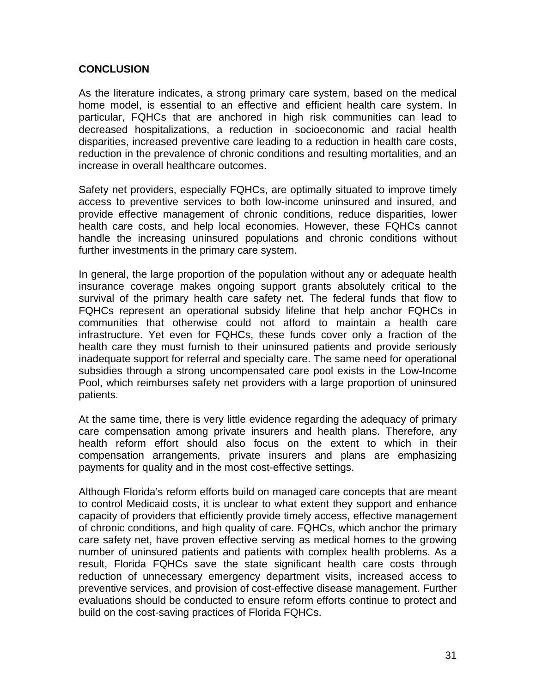### **CONCLUSION**

As the literature indicates, a strong primary care system, based on the medical home model, is essential to an effective and efficient health care system. In particular, FQHCs that are anchored in high risk communities can lead to decreased hospitalizations, a reduction in socioeconomic and racial health disparities, increased preventive care leading to a reduction in health care costs, reduction in the prevalence of chronic conditions and resulting mortalities, and an increase in overall healthcare outcomes.

Safety net providers, especially FQHCs, are optimally situated to improve timely access to preventive services to both low-income uninsured and insured, and provide effective management of chronic conditions, reduce disparities, lower health care costs, and help local economies. However, these FQHCs cannot handle the increasing uninsured populations and chronic conditions without further investments in the primary care system.

In general, the large proportion of the population without any or adequate health insurance coverage makes ongoing support grants absolutely critical to the survival of the primary health care safety net. The federal funds that flow to FQHCs represent an operational subsidy lifeline that help anchor FQHCs in communities that otherwise could not afford to maintain a health care infrastructure. Yet even for FQHCs, these funds cover only a fraction of the health care they must furnish to their uninsured patients and provide seriously inadequate support for referral and specialty care. The same need for operational subsidies through a strong uncompensated care pool exists in the Low-Income Pool, which reimburses safety net providers with a large proportion of uninsured patients.

At the same time, there is very little evidence regarding the adequacy of primary care compensation among private insurers and health plans. Therefore, any health reform effort should also focus on the extent to which in their compensation arrangements, private insurers and plans are emphasizing payments for quality and in the most cost-effective settings.

Although Florida's reform efforts build on managed care concepts that are meant to control Medicaid costs, it is unclear to what extent they support and enhance capacity of providers that efficiently provide timely access, effective management of chronic conditions, and high quality of care. FQHCs, which anchor the primary care safety net, have proven effective serving as medical homes to the growing number of uninsured patients and patients with complex health problems. As a result, Florida FQHCs save the state significant health care costs through reduction of unnecessary emergency department visits, increased access to preventive services, and provision of cost-effective disease management. Further evaluations should be conducted to ensure reform efforts continue to protect and build on the cost-saving practices of Florida FQHCs.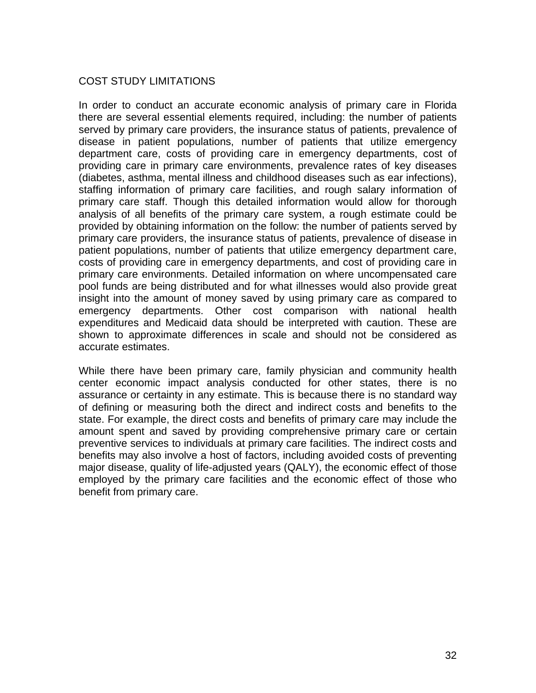# COST STUDY LIMITATIONS

In order to conduct an accurate economic analysis of primary care in Florida there are several essential elements required, including: the number of patients served by primary care providers, the insurance status of patients, prevalence of disease in patient populations, number of patients that utilize emergency department care, costs of providing care in emergency departments, cost of providing care in primary care environments, prevalence rates of key diseases (diabetes, asthma, mental illness and childhood diseases such as ear infections), staffing information of primary care facilities, and rough salary information of primary care staff. Though this detailed information would allow for thorough analysis of all benefits of the primary care system, a rough estimate could be provided by obtaining information on the follow: the number of patients served by primary care providers, the insurance status of patients, prevalence of disease in patient populations, number of patients that utilize emergency department care, costs of providing care in emergency departments, and cost of providing care in primary care environments. Detailed information on where uncompensated care pool funds are being distributed and for what illnesses would also provide great insight into the amount of money saved by using primary care as compared to emergency departments. Other cost comparison with national health expenditures and Medicaid data should be interpreted with caution. These are shown to approximate differences in scale and should not be considered as accurate estimates.

While there have been primary care, family physician and community health center economic impact analysis conducted for other states, there is no assurance or certainty in any estimate. This is because there is no standard way of defining or measuring both the direct and indirect costs and benefits to the state. For example, the direct costs and benefits of primary care may include the amount spent and saved by providing comprehensive primary care or certain preventive services to individuals at primary care facilities. The indirect costs and benefits may also involve a host of factors, including avoided costs of preventing major disease, quality of life-adjusted years (QALY), the economic effect of those employed by the primary care facilities and the economic effect of those who benefit from primary care.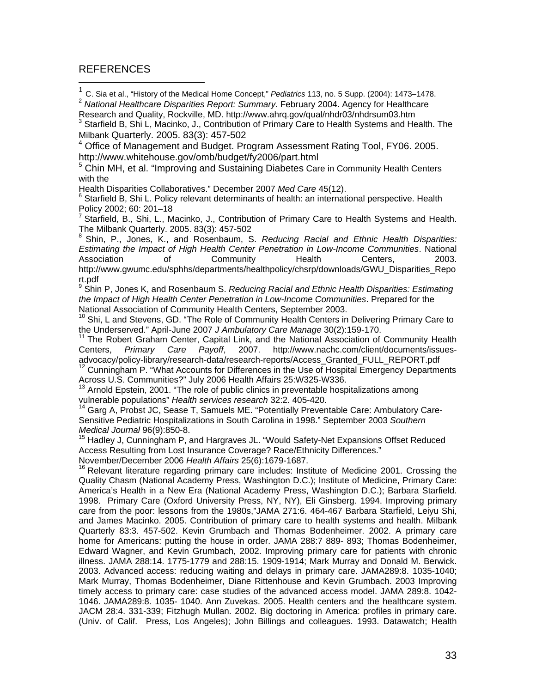#### REFERENCES

 $\overline{a}$ 

<sup>1</sup> C. Sia et al., "History of the Medical Home Concept," *Pediatrics* 113, no. 5 Supp. (2004): 1473–1478.

<sup>2</sup> *National Healthcare Disparities Report: Summary*. February 2004. Agency for Healthcare Research and Quality, Rockville, MD. http://www.ahrq.gov/qual/nhdr03/nhdrsum03.htm 3

<sup>3</sup> Starfield B, Shi L, Macinko, J., Contribution of Primary Care to Health Systems and Health. The Milbank Quarterly. 2005. 83(3): 457-502

4 Office of Management and Budget. Program Assessment Rating Tool, FY06. 2005. http://www.whitehouse.gov/omb/budget/fy2006/part.html

<sup>5</sup> Chin MH, et al. "Improving and Sustaining Diabetes Care in Community Health Centers with the

Health Disparities Collaboratives." December 2007 *Med Care* 45(12). <sup>6</sup>

 $6$  Starfield B, Shi L. Policy relevant determinants of health: an international perspective. Health Policy 2002; 60: 201–18

7 Starfield, B., Shi, L., Macinko, J., Contribution of Primary Care to Health Systems and Health. The Milbank Quarterly. 2005. 83(3): 457-502

8 Shin, P., Jones, K., and Rosenbaum, S. *Reducing Racial and Ethnic Health Disparities: Estimating the Impact of High Health Center Penetration in Low-Income Communities*. National Association of Community Health Centers, 2003. http://www.gwumc.edu/sphhs/departments/healthpolicy/chsrp/downloads/GWU\_Disparities\_Repo rt.pdf

<sup>9</sup> Shin P, Jones K, and Rosenbaum S. *Reducing Racial and Ethnic Health Disparities: Estimating the Impact of High Health Center Penetration in Low-Income Communities*. Prepared for the

National Association of Community Health Centers in Delivering Primary Care to<br>the Underserved." April-June 2007 J Ambulatory Care Manage 30(2):159-170.

<sup>11</sup> The Robert Graham Center, Capital Link, and the National Association of Community Health Centers, *Primary Care Payoff*, 2007. http://www.nachc.com/client/documents/issues-

advocacy/policy-library/research-data/research-reports/Access\_Granted\_FULL\_REPORT.pdf<br><sup>12</sup> Cunningham P. "What Accounts for Differences in the Use of Hospital Emergency Departments Across U.S. Communities?" July 2006 Health Affairs 25:W325-W336.

Arnold Epstein, 2001. "The role of public clinics in preventable hospitalizations among vulnerable populations" *Health services research* 32:2. 405-420.

<sup>14</sup> Garg A, Probst JC, Sease T, Samuels ME. "Potentially Preventable Care: Ambulatory Care-Sensitive Pediatric Hospitalizations in South Carolina in 1998." September 2003 *Southern Medical Journal* 96(9):850-8.<br><sup>15</sup> Hadley J, Cunningham P, and Hargraves JL. "Would Safety-Net Expansions Offset Reduced

Access Resulting from Lost Insurance Coverage? Race/Ethnicity Differences."

November/December 2006 *Health Affairs* 25(6):1679-1687.<br><sup>16</sup> Relevant literature regarding primary care includes: Institute of Medicine 2001. Crossing the Quality Chasm (National Academy Press, Washington D.C.); Institute of Medicine, Primary Care: America's Health in a New Era (National Academy Press, Washington D.C.); Barbara Starfield. 1998. Primary Care (Oxford University Press, NY, NY), Eli Ginsberg. 1994. Improving primary care from the poor: lessons from the 1980s,"JAMA 271:6. 464-467 Barbara Starfield, Leiyu Shi, and James Macinko. 2005. Contribution of primary care to health systems and health. Milbank Quarterly 83:3. 457-502. Kevin Grumbach and Thomas Bodenheimer. 2002. A primary care home for Americans: putting the house in order. JAMA 288:7 889- 893; Thomas Bodenheimer, Edward Wagner, and Kevin Grumbach, 2002. Improving primary care for patients with chronic illness. JAMA 288:14. 1775-1779 and 288:15. 1909-1914; Mark Murray and Donald M. Berwick. 2003. Advanced access: reducing waiting and delays in primary care. JAMA289:8. 1035-1040; Mark Murray, Thomas Bodenheimer, Diane Rittenhouse and Kevin Grumbach. 2003 Improving timely access to primary care: case studies of the advanced access model. JAMA 289:8. 1042- 1046. JAMA289:8. 1035- 1040. Ann Zuvekas. 2005. Health centers and the healthcare system. JACM 28:4. 331-339; Fitzhugh Mullan. 2002. Big doctoring in America: profiles in primary care. (Univ. of Calif. Press, Los Angeles); John Billings and colleagues. 1993. Datawatch; Health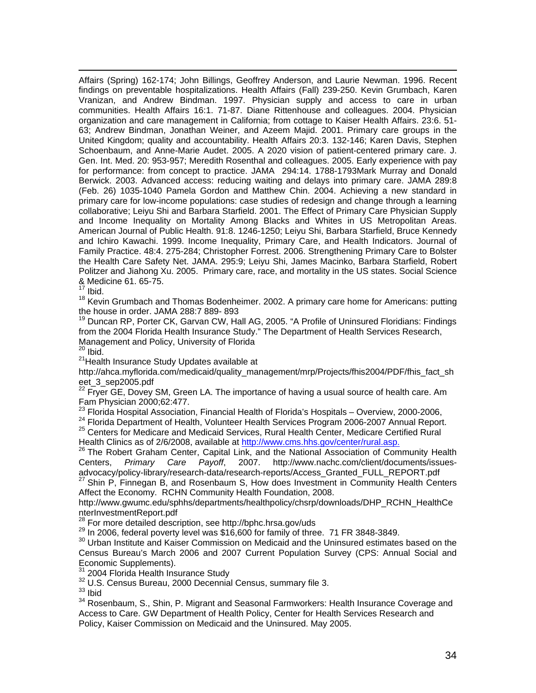Affairs (Spring) 162-174; John Billings, Geoffrey Anderson, and Laurie Newman. 1996. Recent findings on preventable hospitalizations. Health Affairs (Fall) 239-250. Kevin Grumbach, Karen Vranizan, and Andrew Bindman. 1997. Physician supply and access to care in urban communities. Health Affairs 16:1. 71-87. Diane Rittenhouse and colleagues. 2004. Physician organization and care management in California; from cottage to Kaiser Health Affairs. 23:6. 51- 63; Andrew Bindman, Jonathan Weiner, and Azeem Majid. 2001. Primary care groups in the United Kingdom; quality and accountability. Health Affairs 20:3. 132-146; Karen Davis, Stephen Schoenbaum, and Anne-Marie Audet. 2005. A 2020 vision of patient-centered primary care. J. Gen. Int. Med. 20: 953-957; Meredith Rosenthal and colleagues. 2005. Early experience with pay for performance: from concept to practice. JAMA 294:14. 1788-1793Mark Murray and Donald Berwick. 2003. Advanced access: reducing waiting and delays into primary care. JAMA 289:8 (Feb. 26) 1035-1040 Pamela Gordon and Matthew Chin. 2004. Achieving a new standard in primary care for low-income populations: case studies of redesign and change through a learning collaborative; Leiyu Shi and Barbara Starfield. 2001. The Effect of Primary Care Physician Supply and Income Inequality on Mortality Among Blacks and Whites in US Metropolitan Areas. American Journal of Public Health. 91:8. 1246-1250; Leiyu Shi, Barbara Starfield, Bruce Kennedy and Ichiro Kawachi. 1999. Income Inequality, Primary Care, and Health Indicators. Journal of Family Practice. 48:4. 275-284; Christopher Forrest. 2006. Strengthening Primary Care to Bolster the Health Care Safety Net. JAMA. 295:9; Leiyu Shi, James Macinko, Barbara Starfield, Robert Politzer and Jiahong Xu. 2005. Primary care, race, and mortality in the US states. Social Science & Medicine 61. 65-75.

 $17$  Ibid.

<sup>18</sup> Kevin Grumbach and Thomas Bodenheimer. 2002. A primary care home for Americans: putting the house in order. JAMA 288:7 889- 893

<sup>19</sup> Duncan RP, Porter CK, Garvan CW, Hall AG, 2005. "A Profile of Uninsured Floridians: Findings from the 2004 Florida Health Insurance Study." The Department of Health Services Research, Management and Policy, University of Florida

 $20$  Ibid.

<sup>21</sup> Health Insurance Study Updates available at

http://ahca.myflorida.com/medicaid/quality\_management/mrp/Projects/fhis2004/PDF/fhis\_fact\_sh eet\_3\_sep2005.pdf

 $^{22}$  Fryer GE, Dovey SM, Green LA. The importance of having a usual source of health care. Am

Fam Physician 2000;62:477.<br><sup>23</sup> Florida Hospital Association, Financial Health of Florida's Hospitals – Overview, 2000-2006,

<sup>24</sup> Florida Department of Health, Volunteer Health Services Program 2006-2007 Annual Report.<br><sup>25</sup> Centers for Medicare and Medicaid Services, Rural Health Center, Medicare Certified Rural<br>Health Clinics as of 2/6/2008, av

<sup>26</sup> The Robert Graham Center, Capital Link, and the National Association of Community Health Centers, *Primary Care Payoff*, 2007. http://www.nachc.com/client/documents/issuesadvocacy/policy-library/research-data/research-reports/Access\_Granted\_FULL\_REPORT.pdf<br><sup>27</sup> Shin P, Finnegan B, and Rosenbaum S, How does Investment in Community Health Centers

Affect the Economy. RCHN Community Health Foundation, 2008.

http://www.gwumc.edu/sphhs/departments/healthpolicy/chsrp/downloads/DHP\_RCHN\_HealthCe nterInvestmentReport.pdf<br><sup>28</sup> For more detailed description, see http://bphc.hrsa.gov/uds

 $^{29}$  In 2006, federal poverty level was \$16,600 for family of three. 71 FR 3848-3849.<br><sup>30</sup> Urban Institute and Kaiser Commission on Medicaid and the Uninsured estimates based on the Census Bureau's March 2006 and 2007 Current Population Survey (CPS: Annual Social and

Economic Supplements).<br><sup>31</sup> 2004 Florida Health Insurance Study

 $32$  U.S. Census Bureau, 2000 Decennial Census, summary file 3.  $33$  Ibid

<sup>34</sup> Rosenbaum, S., Shin, P. Migrant and Seasonal Farmworkers: Health Insurance Coverage and Access to Care. GW Department of Health Policy, Center for Health Services Research and Policy, Kaiser Commission on Medicaid and the Uninsured. May 2005.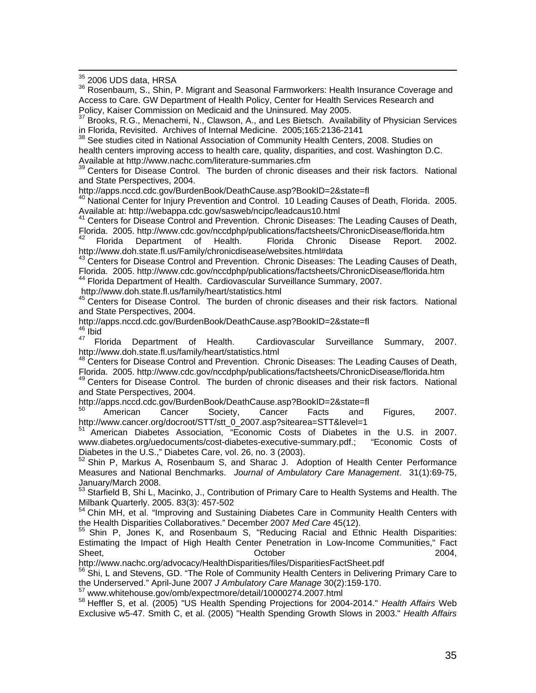$^{35}$  2006 UDS data, HRSA

36 Rosenbaum, S., Shin, P. Migrant and Seasonal Farmworkers: Health Insurance Coverage and Access to Care. GW Department of Health Policy, Center for Health Services Research and Policy, Kaiser Commission on Medicaid and the Uninsured. May 2005.

<sup>37</sup> Brooks, R.G., Menachemi, N., Clawson, A., and Les Bietsch. Availability of Physician Services in Florida, Revisited. Archives of Internal Medicine. 2005;165:2136-2141

<sup>38</sup> See studies cited in National Association of Community Health Centers, 2008. Studies on health centers improving access to health care, quality, disparities, and cost. Washington D.C. Available at http://www.nachc.com/literature-summaries.cfm

39 Centers for Disease Control. The burden of chronic diseases and their risk factors. National and State Perspectives, 2004.<br>http://apps.nccd.cdc.gov/BurdenBook/DeathCause.asp?BookID=2&state=fl

<sup>40</sup> National Center for Injury Prevention and Control. 10 Leading Causes of Death, Florida. 2005.<br>Available at: http://webappa.cdc.gov/sasweb/ncipc/leadcaus10.html

<sup>41</sup> Centers for Disease Control and Prevention. Chronic Diseases: The Leading Causes of Death, Florida. 2005. http://www.cdc.gov/nccdphp/publications/factsheets/ChronicDisease/florida.htm

42 Florida Department of Health. Florida Chronic Disease Report. 2002. http://www.doh.state.fl.us/Family/chronicdisease/websites.html#data

<sup>43</sup> Centers for Disease Control and Prevention. Chronic Diseases: The Leading Causes of Death, Florida. 2005. http://www.cdc.gov/nccdphp/publications/factsheets/ChronicDisease/florida.htm

<sup>44</sup> Florida Department of Health. Cardiovascular Surveillance Summary, 2007.

http://www.doh.state.fl.us/family/heart/statistics.html<br><sup>45</sup> Centers for Disease Control. The burden of chronic diseases and their risk factors. National and State Perspectives, 2004.

http://apps.nccd.cdc.gov/BurdenBook/DeathCause.asp?BookID=2&state=fl<br><sup>46</sup> Ibid<br><sup>47</sup> Florida Department of Health. Cardiovascular Surveillance

47 Florida Department of Health. Cardiovascular Surveillance Summary, 2007. http://www.doh.state.fl.us/family/heart/statistics.html<br><sup>48</sup> Centers for Disease Control and Prevention. Chronic Diseases: The Leading Causes of Death,

Florida. 2005. http://www.cdc.gov/nccdphp/publications/factsheets/ChronicDisease/florida.htm

<sup>49</sup> Centers for Disease Control. The burden of chronic diseases and their risk factors. National and State Perspectives, 2004.

http://apps.nccd.cdc.gov/BurdenBook/DeathCause.asp?BookID=2&state=fl<br><sup>50</sup> American Cancer Society, Cancer Facts and Figures, 2007. http://www.cancer.org/docroot/STT/stt\_0\_2007.asp?sitearea=STT&level=1

51 American Diabetes Association, "Economic Costs of Diabetes in the U.S. in 2007. www.diabetes.org/uedocuments/cost-diabetes-executive-summary.pdf.; "Economic Costs of Diabetes in the U.S.," Diabetes Care, vol. 26, no. 3 (2003).

52 Shin P, Markus A, Rosenbaum S, and Sharac J. Adoption of Health Center Performance Measures and National Benchmarks. *Journal of Ambulatory Care Management*. 31(1):69-75, January/March 2008.

53 Starfield B, Shi L, Macinko, J., Contribution of Primary Care to Health Systems and Health. The Milbank Quarterly. 2005. 83(3): 457-502

<sup>54</sup> Chin MH, et al. "Improving and Sustaining Diabetes Care in Community Health Centers with the Health Disparities Collaboratives." December 2007 *Med Care* 45(12).<br><sup>55</sup> Shin P, Jones K, and Rosenbaum S, "Reducing Racial and Ethnic Health Disparities:

Estimating the Impact of High Health Center Penetration in Low-Income Communities," Fact Sheet, October 2004,

http://www.nachc.org/advocacy/HealthDisparities/files/DisparitiesFactSheet.pdf<br><sup>56</sup> Shi, L and Stevens, GD. "The Role of Community Health Centers in Delivering Primary Care to<br>the Underserved." April-June 2007 J Ambulatory

<sup>57</sup> www.whitehouse.gov/omb/expectmore/detail/10000274.2007.html

58 Heffler S, et al. (2005) "US Health Spending Projections for 2004-2014." *Health Affairs* Web Exclusive w5-47. Smith C, et al. (2005) "Health Spending Growth Slows in 2003." *Health Affairs*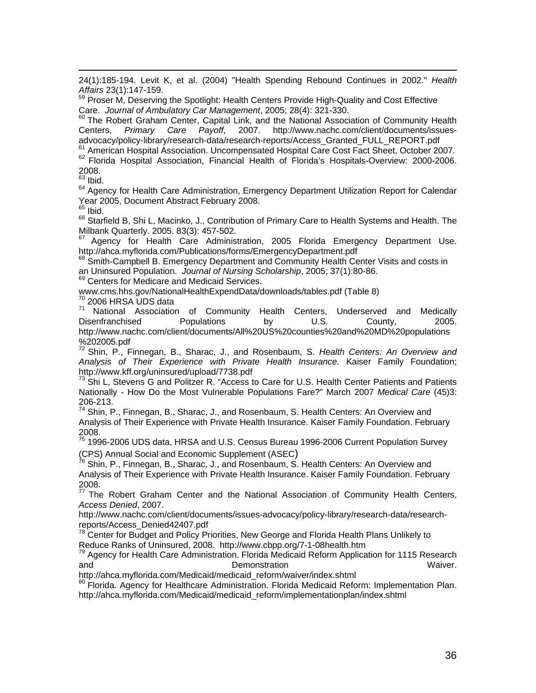24(1):185-194. Levit K, et al. (2004) "Health Spending Rebound Continues in 2002." *Health* 

Affairs 23(1):147-159.<br><sup>59</sup> Proser M, Deserving the Spotlight: Health Centers Provide High-Quality and Cost Effective

Care. *Journal of Ambulatory Car Management*, 2005; 28(4): 321-330.<br><sup>60</sup> The Robert Graham Center, Capital Link, and the National Association of Community Health<br>Centers, Primary Care Payoff, 2007. http://www.nachc.com/cli Centers, *Primary Care Payoff*, 2007. http://www.nachc.com/client/documents/issues-

advocacy/policy-library/research-data/research-reports/Access\_Granted\_FULL\_REPORT.pdf<br><sup>61</sup> American Hospital Association. Uncompensated Hospital Care Cost Fact Sheet, October 2007.<br><sup>62</sup> Florida Hospital Association, Financ 2008.

 $63$  Ibid.

<sup>64</sup> Agency for Health Care Administration, Emergency Department Utilization Report for Calendar Year 2005, Document Abstract February 2008.

 $65$  Ibid.

<sup>66</sup> Starfield B, Shi L, Macinko, J., Contribution of Primary Care to Health Systems and Health. The Milbank Quarterly. 2005. 83(3): 457-502.

 $67$  Agency for Health Care Administration, 2005 Florida Emergency Department Use.<br>http://ahca.myflorida.com/Publications/forms/EmergencyDepartment.pdf

68 Smith-Campbell B. Emergency Department and Community Health Center Visits and costs in an Uninsured Population. *Journal of Nursing Scholarship*, 2005; 37(1):80-86.<br><sup>69</sup> Centers for Medicare and Medicaid Services.

www.cms.hhs.gov/NationalHealthExpendData/downloads/tables.pdf (Table 8)<br><sup>70</sup> 2006 HRSA UDS data

71 National Association of Community Health Centers, Underserved and Medically Disenfranchised Populations by U.S. County, 2005. http://www.nachc.com/client/documents/All%20US%20counties%20and%20MD%20populations %202005.pdf

72 Shin, P., Finnegan, B., Sharac, J., and Rosenbaum, S. *Health Centers: An Overview and Analysis of Their Experience with Private Health Insurance.* Kaiser Family Foundation; http://www.kff.org/uninsured/upload/7738.pdf

<sup>73</sup> Shi L, Stevens G and Politzer R. "Access to Care for U.S. Health Center Patients and Patients Nationally - How Do the Most Vulnerable Populations Fare?" March 2007 *Medical Care* (45)3: 206-213.

74 Shin, P., Finnegan, B., Sharac, J., and Rosenbaum, S. Health Centers: An Overview and Analysis of Their Experience with Private Health Insurance. Kaiser Family Foundation. February 2008.

75 1996-2006 UDS data, HRSA and U.S. Census Bureau 1996-2006 Current Population Survey

(CPS) Annual Social and Economic Supplement (ASEC)<br><sup>76</sup> Shin, P., Finnegan, B., Sharac, J., and Rosenbaum, S. Health Centers: An Overview and Analysis of Their Experience with Private Health Insurance. Kaiser Family Foundation. February 2008.

 $77$  The Robert Graham Center and the National Association of Community Health Centers, *Access Denied*, 2007.

http://www.nachc.com/client/documents/issues-advocacy/policy-library/research-data/researchreports/Access\_Denied42407.pdf

 $78$  Center for Budget and Policy Priorities, New George and Florida Health Plans Unlikely to Reduce Ranks of Uninsured, 2008. http://www.cbpp.org/7-1-08health.htm

<sup>79</sup> Agency for Health Care Administration. Florida Medicaid Reform Application for 1115 Research and **Demonstration** Demonstration **CONS EXECUTE:** Waiver.

http://ahca.myflorida.com/Medicaid/medicaid\_reform/waiver/index.shtml

80 Florida. Agency for Healthcare Administration. Florida Medicaid Reform: Implementation Plan. http://ahca.myflorida.com/Medicaid/medicaid\_reform/implementationplan/index.shtml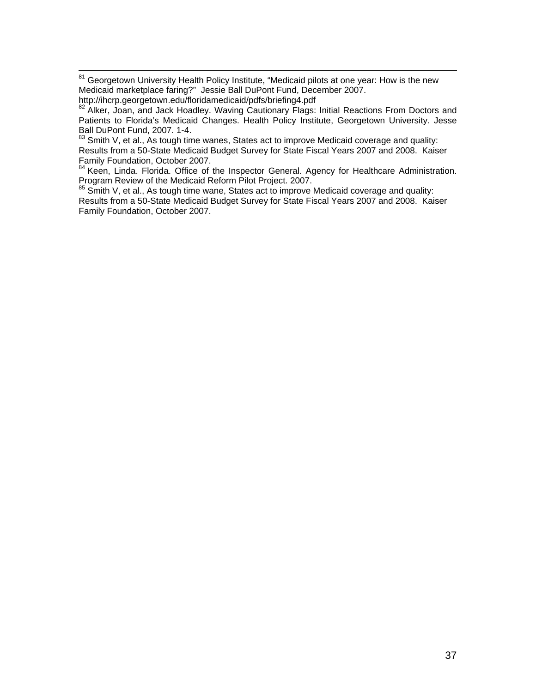<sup>81</sup> Georgetown University Health Policy Institute, "Medicaid pilots at one year: How is the new Medicaid marketplace faring?" Jessie Ball DuPont Fund, December 2007.<br>http://ihcrp.georgetown.edu/floridamedicaid/pdfs/briefing4.pdf

 $83$  Smith V, et al., As tough time wanes, States act to improve Medicaid coverage and quality: Results from a 50-State Medicaid Budget Survey for State Fiscal Years 2007 and 2008. Kaiser Family Foundation, October 2007.

<sup>84</sup> Keen, Linda. Florida. Office of the Inspector General. Agency for Healthcare Administration. Program Review of the Medicaid Reform Pilot Project. 2007.

<sup>85</sup> Smith V, et al., As tough time wane, States act to improve Medicaid coverage and quality: Results from a 50-State Medicaid Budget Survey for State Fiscal Years 2007 and 2008. Kaiser Family Foundation, October 2007.

<sup>82</sup> Alker, Joan, and Jack Hoadley. Waving Cautionary Flags: Initial Reactions From Doctors and Patients to Florida's Medicaid Changes. Health Policy Institute, Georgetown University. Jesse Ball DuPont Fund, 2007. 1-4.